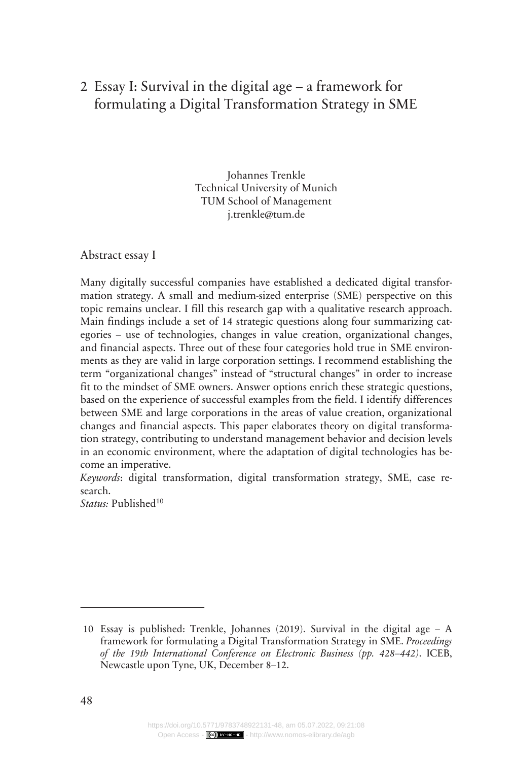# Essay I: Survival in the digital age – a framework for 2 formulating a Digital Transformation Strategy in SME

Johannes Trenkle Technical University of Munich TUM School of Management j.trenkle@tum.de

Abstract essay I

Many digitally successful companies have established a dedicated digital transformation strategy. A small and medium-sized enterprise (SME) perspective on this topic remains unclear. I fill this research gap with a qualitative research approach. Main findings include a set of 14 strategic questions along four summarizing categories – use of technologies, changes in value creation, organizational changes, and financial aspects. Three out of these four categories hold true in SME environments as they are valid in large corporation settings. I recommend establishing the term "organizational changes" instead of "structural changes" in order to increase fit to the mindset of SME owners. Answer options enrich these strategic questions, based on the experience of successful examples from the field. I identify differences between SME and large corporations in the areas of value creation, organizational changes and financial aspects. This paper elaborates theory on digital transformation strategy, contributing to understand management behavior and decision levels in an economic environment, where the adaptation of digital technologies has become an imperative.

*Keywords*: digital transformation, digital transformation strategy, SME, case research.

Status: Published<sup>10</sup>

<sup>10</sup> Essay is published: Trenkle, Johannes (2019). Survival in the digital age – A framework for formulating a Digital Transformation Strategy in SME. *Proceedings of the 19th International Conference on Electronic Business (pp. 428–442)*. ICEB, Newcastle upon Tyne, UK, December 8–12.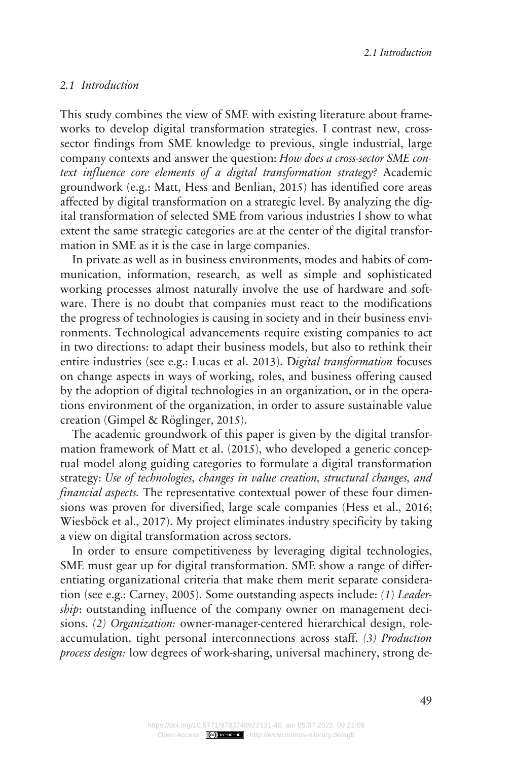*2.1 Introduction*

#### *Introduction 2.1*

This study combines the view of SME with existing literature about frameworks to develop digital transformation strategies. I contrast new, crosssector findings from SME knowledge to previous, single industrial, large company contexts and answer the question: *How does a cross-sector SME context influence core elements of a digital transformation strategy?* Academic groundwork (e.g.: Matt, Hess and Benlian, 2015) has identified core areas affected by digital transformation on a strategic level. By analyzing the digital transformation of selected SME from various industries I show to what extent the same strategic categories are at the center of the digital transformation in SME as it is the case in large companies.

In private as well as in business environments, modes and habits of communication, information, research, as well as simple and sophisticated working processes almost naturally involve the use of hardware and software. There is no doubt that companies must react to the modifications the progress of technologies is causing in society and in their business environments. Technological advancements require existing companies to act in two directions: to adapt their business models, but also to rethink their entire industries (see e.g.: Lucas et al. 2013). D*igital transformation* focuses on change aspects in ways of working, roles, and business offering caused by the adoption of digital technologies in an organization, or in the operations environment of the organization, in order to assure sustainable value creation (Gimpel & Röglinger, 2015).

The academic groundwork of this paper is given by the digital transformation framework of Matt et al. (2015), who developed a generic conceptual model along guiding categories to formulate a digital transformation strategy: *Use of technologies, changes in value creation, structural changes, and financial aspects.* The representative contextual power of these four dimensions was proven for diversified, large scale companies (Hess et al., 2016; Wiesböck et al., 2017). My project eliminates industry specificity by taking a view on digital transformation across sectors.

In order to ensure competitiveness by leveraging digital technologies, SME must gear up for digital transformation. SME show a range of differentiating organizational criteria that make them merit separate consideration (see e.g.: Carney, 2005). Some outstanding aspects include: *(1*) *Leadership*: outstanding influence of the company owner on management decisions. *(2) Organization:* owner-manager-centered hierarchical design, roleaccumulation, tight personal interconnections across staff. *(3) Production process design:* low degrees of work-sharing, universal machinery, strong de-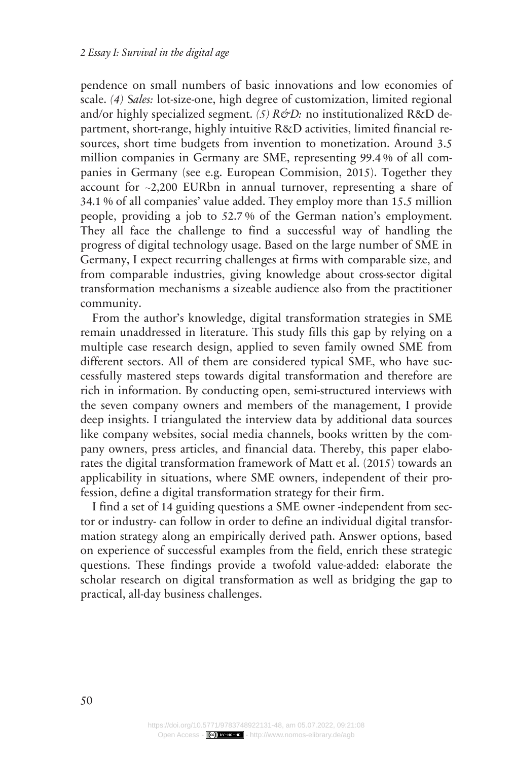pendence on small numbers of basic innovations and low economies of scale. *(4)* S*ales:* lot-size-one, high degree of customization, limited regional and/or highly specialized segment. (5) R&D: no institutionalized R&D department, short-range, highly intuitive R&D activities, limited financial resources, short time budgets from invention to monetization. Around 3.5 million companies in Germany are SME, representing 99.4 % of all companies in Germany (see e.g. European Commision, 2015). Together they account for ~2,200 EURbn in annual turnover, representing a share of 34.1 % of all companies' value added. They employ more than 15.5 million people, providing a job to 52.7 % of the German nation's employment. They all face the challenge to find a successful way of handling the progress of digital technology usage. Based on the large number of SME in Germany, I expect recurring challenges at firms with comparable size, and from comparable industries, giving knowledge about cross-sector digital transformation mechanisms a sizeable audience also from the practitioner community.

From the author's knowledge, digital transformation strategies in SME remain unaddressed in literature. This study fills this gap by relying on a multiple case research design, applied to seven family owned SME from different sectors. All of them are considered typical SME, who have successfully mastered steps towards digital transformation and therefore are rich in information. By conducting open, semi-structured interviews with the seven company owners and members of the management, I provide deep insights. I triangulated the interview data by additional data sources like company websites, social media channels, books written by the company owners, press articles, and financial data. Thereby, this paper elaborates the digital transformation framework of Matt et al. (2015) towards an applicability in situations, where SME owners, independent of their profession, define a digital transformation strategy for their firm.

I find a set of 14 guiding questions a SME owner -independent from sector or industry- can follow in order to define an individual digital transformation strategy along an empirically derived path. Answer options, based on experience of successful examples from the field, enrich these strategic questions. These findings provide a twofold value-added: elaborate the scholar research on digital transformation as well as bridging the gap to practical, all-day business challenges.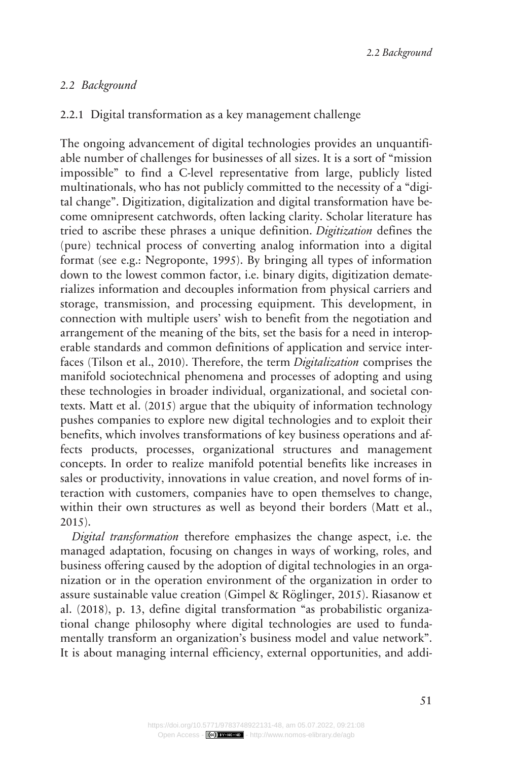## *Background 2.2*

## 2.2.1 Digital transformation as a key management challenge

The ongoing advancement of digital technologies provides an unquantifiable number of challenges for businesses of all sizes. It is a sort of "mission impossible" to find a C-level representative from large, publicly listed multinationals, who has not publicly committed to the necessity of a "digital change". Digitization, digitalization and digital transformation have become omnipresent catchwords, often lacking clarity. Scholar literature has tried to ascribe these phrases a unique definition. *Digitization* defines the (pure) technical process of converting analog information into a digital format (see e.g.: Negroponte, 1995). By bringing all types of information down to the lowest common factor, i.e. binary digits, digitization dematerializes information and decouples information from physical carriers and storage, transmission, and processing equipment. This development, in connection with multiple users' wish to benefit from the negotiation and arrangement of the meaning of the bits, set the basis for a need in interoperable standards and common definitions of application and service interfaces (Tilson et al., 2010). Therefore, the term *Digitalization* comprises the manifold sociotechnical phenomena and processes of adopting and using these technologies in broader individual, organizational, and societal contexts. Matt et al. (2015) argue that the ubiquity of information technology pushes companies to explore new digital technologies and to exploit their benefits, which involves transformations of key business operations and affects products, processes, organizational structures and management concepts. In order to realize manifold potential benefits like increases in sales or productivity, innovations in value creation, and novel forms of interaction with customers, companies have to open themselves to change, within their own structures as well as beyond their borders (Matt et al., 2015).

*Digital transformation* therefore emphasizes the change aspect, i.e. the managed adaptation, focusing on changes in ways of working, roles, and business offering caused by the adoption of digital technologies in an organization or in the operation environment of the organization in order to assure sustainable value creation (Gimpel & Röglinger, 2015). Riasanow et al. (2018), p. 13, define digital transformation "as probabilistic organizational change philosophy where digital technologies are used to fundamentally transform an organization's business model and value network". It is about managing internal efficiency, external opportunities, and addi-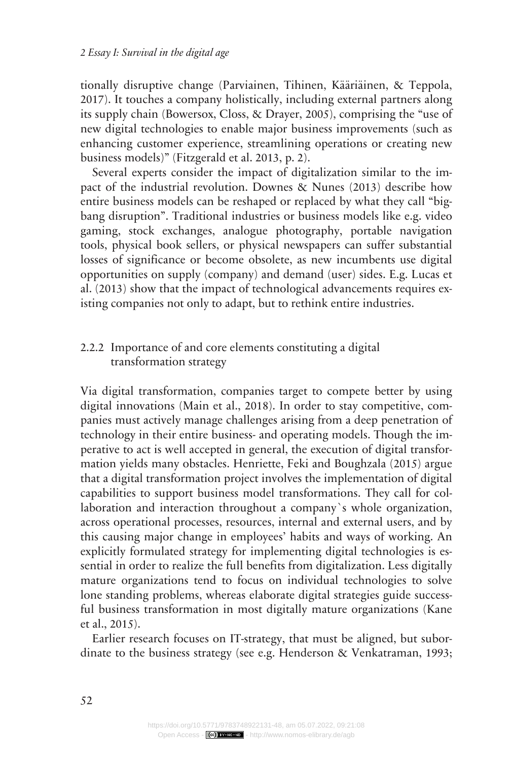tionally disruptive change (Parviainen, Tihinen, Kääriäinen, & Teppola, 2017). It touches a company holistically, including external partners along its supply chain (Bowersox, Closs, & Drayer, 2005), comprising the "use of new digital technologies to enable major business improvements (such as enhancing customer experience, streamlining operations or creating new business models)" (Fitzgerald et al. 2013, p. 2).

Several experts consider the impact of digitalization similar to the impact of the industrial revolution. Downes & Nunes (2013) describe how entire business models can be reshaped or replaced by what they call "bigbang disruption". Traditional industries or business models like e.g. video gaming, stock exchanges, analogue photography, portable navigation tools, physical book sellers, or physical newspapers can suffer substantial losses of significance or become obsolete, as new incumbents use digital opportunities on supply (company) and demand (user) sides. E.g. Lucas et al. (2013) show that the impact of technological advancements requires existing companies not only to adapt, but to rethink entire industries.

### 2.2.2 Importance of and core elements constituting a digital transformation strategy

Via digital transformation, companies target to compete better by using digital innovations (Main et al., 2018). In order to stay competitive, companies must actively manage challenges arising from a deep penetration of technology in their entire business- and operating models. Though the imperative to act is well accepted in general, the execution of digital transformation yields many obstacles. Henriette, Feki and Boughzala (2015) argue that a digital transformation project involves the implementation of digital capabilities to support business model transformations. They call for collaboration and interaction throughout a company`s whole organization, across operational processes, resources, internal and external users, and by this causing major change in employees' habits and ways of working. An explicitly formulated strategy for implementing digital technologies is essential in order to realize the full benefits from digitalization. Less digitally mature organizations tend to focus on individual technologies to solve lone standing problems, whereas elaborate digital strategies guide successful business transformation in most digitally mature organizations (Kane et al., 2015).

Earlier research focuses on IT-strategy, that must be aligned, but subordinate to the business strategy (see e.g. Henderson & Venkatraman, 1993;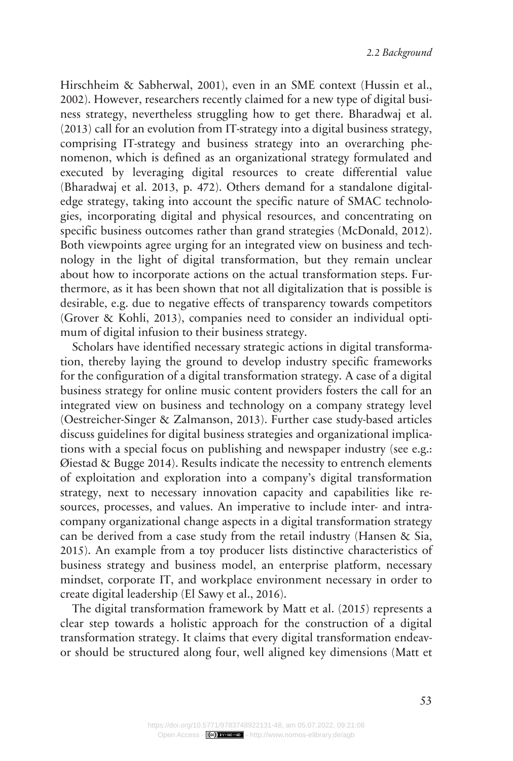Hirschheim & Sabherwal, 2001), even in an SME context (Hussin et al., 2002). However, researchers recently claimed for a new type of digital business strategy, nevertheless struggling how to get there. Bharadwaj et al. (2013) call for an evolution from IT-strategy into a digital business strategy, comprising IT-strategy and business strategy into an overarching phenomenon, which is defined as an organizational strategy formulated and executed by leveraging digital resources to create differential value (Bharadwaj et al. 2013, p. 472). Others demand for a standalone digitaledge strategy, taking into account the specific nature of SMAC technologies, incorporating digital and physical resources, and concentrating on specific business outcomes rather than grand strategies (McDonald, 2012). Both viewpoints agree urging for an integrated view on business and technology in the light of digital transformation, but they remain unclear about how to incorporate actions on the actual transformation steps. Furthermore, as it has been shown that not all digitalization that is possible is desirable, e.g. due to negative effects of transparency towards competitors (Grover & Kohli, 2013), companies need to consider an individual optimum of digital infusion to their business strategy.

Scholars have identified necessary strategic actions in digital transformation, thereby laying the ground to develop industry specific frameworks for the configuration of a digital transformation strategy. A case of a digital business strategy for online music content providers fosters the call for an integrated view on business and technology on a company strategy level (Oestreicher-Singer & Zalmanson, 2013). Further case study-based articles discuss guidelines for digital business strategies and organizational implications with a special focus on publishing and newspaper industry (see e.g.: Øiestad & Bugge 2014). Results indicate the necessity to entrench elements of exploitation and exploration into a company's digital transformation strategy, next to necessary innovation capacity and capabilities like resources, processes, and values. An imperative to include inter- and intracompany organizational change aspects in a digital transformation strategy can be derived from a case study from the retail industry (Hansen & Sia, 2015). An example from a toy producer lists distinctive characteristics of business strategy and business model, an enterprise platform, necessary mindset, corporate IT, and workplace environment necessary in order to create digital leadership (El Sawy et al., 2016).

The digital transformation framework by Matt et al. (2015) represents a clear step towards a holistic approach for the construction of a digital transformation strategy. It claims that every digital transformation endeavor should be structured along four, well aligned key dimensions (Matt et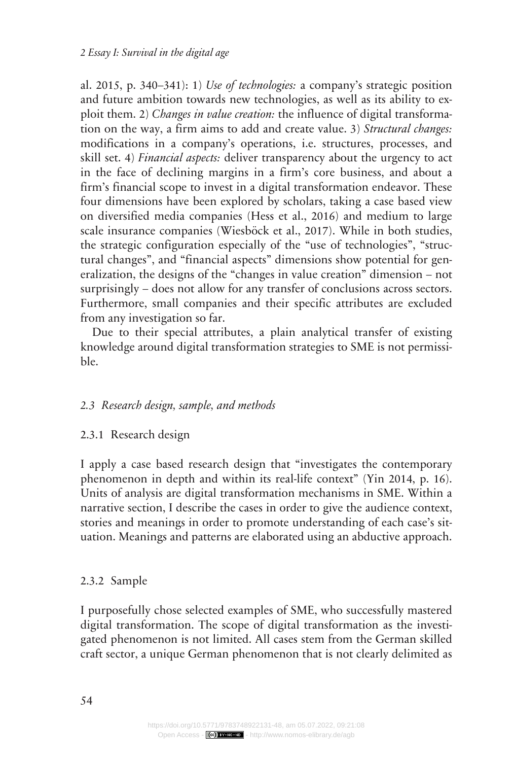al. 2015, p. 340–341): 1) *Use of technologies:* a company's strategic position and future ambition towards new technologies, as well as its ability to exploit them. 2) *Changes in value creation:* the influence of digital transformation on the way, a firm aims to add and create value. 3) *Structural changes:* modifications in a company's operations, i.e. structures, processes, and skill set. 4) *Financial aspects:* deliver transparency about the urgency to act in the face of declining margins in a firm's core business, and about a firm's financial scope to invest in a digital transformation endeavor. These four dimensions have been explored by scholars, taking a case based view on diversified media companies (Hess et al., 2016) and medium to large scale insurance companies (Wiesböck et al., 2017). While in both studies, the strategic configuration especially of the "use of technologies", "structural changes", and "financial aspects" dimensions show potential for generalization, the designs of the "changes in value creation" dimension – not surprisingly – does not allow for any transfer of conclusions across sectors. Furthermore, small companies and their specific attributes are excluded from any investigation so far.

Due to their special attributes, a plain analytical transfer of existing knowledge around digital transformation strategies to SME is not permissible.

## *Research design, sample, and methods 2.3*

#### 2.3.1 Research design

I apply a case based research design that "investigates the contemporary phenomenon in depth and within its real-life context" (Yin 2014, p. 16). Units of analysis are digital transformation mechanisms in SME. Within a narrative section, I describe the cases in order to give the audience context, stories and meanings in order to promote understanding of each case's situation. Meanings and patterns are elaborated using an abductive approach.

## 2.3.2 Sample

I purposefully chose selected examples of SME, who successfully mastered digital transformation. The scope of digital transformation as the investigated phenomenon is not limited. All cases stem from the German skilled craft sector, a unique German phenomenon that is not clearly delimited as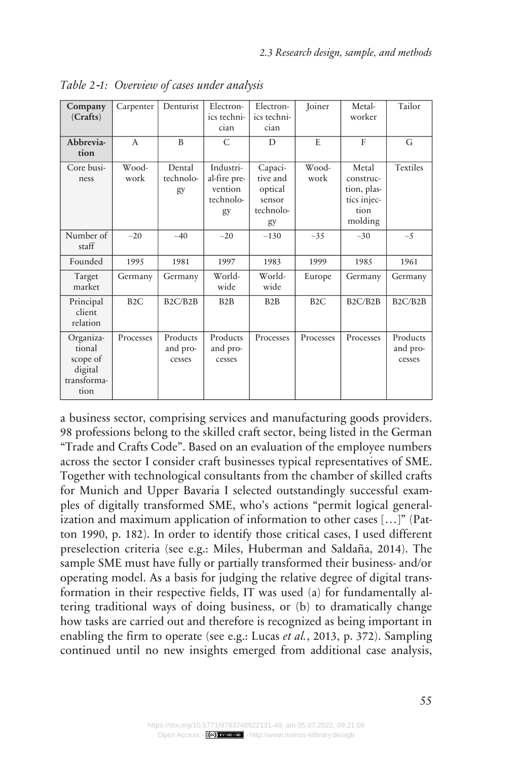| Company<br>(Crafts)                                               | Carpenter     | Denturist                         | Electron-<br>ics techni-<br>cian                        | Electron-<br>ics techni-<br>cian                            | Joiner           | Metal-<br>worker                                                    | Tailor                            |
|-------------------------------------------------------------------|---------------|-----------------------------------|---------------------------------------------------------|-------------------------------------------------------------|------------------|---------------------------------------------------------------------|-----------------------------------|
| Abbrevia-<br>tion                                                 | $\mathsf{A}$  | B                                 | C                                                       | D                                                           | E                | $\mathbf{F}$                                                        | G                                 |
| Core busi-<br>ness                                                | Wood-<br>work | Dental<br>technolo-<br>gy         | Industri-<br>al-fire pre-<br>vention<br>technolo-<br>gy | Capaci-<br>tive and<br>optical<br>sensor<br>technolo-<br>gy | Wood-<br>work    | Metal<br>construc-<br>tion, plas-<br>tics injec-<br>tion<br>molding | <b>Textiles</b>                   |
| Number of<br>staff                                                | $-20$         | $-40$                             | $-20$                                                   | ~130                                                        | $-35$            | ~10                                                                 | $\sim$ 5                          |
| Founded                                                           | 1995          | 1981                              | 1997                                                    | 1983                                                        | 1999             | 1985                                                                | 1961                              |
| Target<br>market                                                  | Germany       | Germany                           | World-<br>wide                                          | World-<br>wide                                              | Europe           | Germany                                                             | Germany                           |
| Principal<br>client<br>relation                                   | B2C           | B <sub>2</sub> C/B <sub>2</sub> B | B2B                                                     | B2B                                                         | B <sub>2</sub> C | B2C/B2B                                                             | B <sub>2</sub> C/B <sub>2</sub> B |
| Organiza-<br>tional<br>scope of<br>digital<br>transforma-<br>tion | Processes     | Products<br>and pro-<br>cesses    | Products<br>and pro-<br>cesses                          | Processes                                                   | Processes        | Processes                                                           | Products<br>and pro-<br>cesses    |

*Overview of cases under analysis Table 2*‑*1:*

a business sector, comprising services and manufacturing goods providers. 98 professions belong to the skilled craft sector, being listed in the German "Trade and Crafts Code". Based on an evaluation of the employee numbers across the sector I consider craft businesses typical representatives of SME. Together with technological consultants from the chamber of skilled crafts for Munich and Upper Bavaria I selected outstandingly successful examples of digitally transformed SME, who's actions "permit logical generalization and maximum application of information to other cases […]" (Patton 1990, p. 182). In order to identify those critical cases, I used different preselection criteria (see e.g.: Miles, Huberman and Saldaña, 2014). The sample SME must have fully or partially transformed their business- and/or operating model. As a basis for judging the relative degree of digital transformation in their respective fields, IT was used (a) for fundamentally altering traditional ways of doing business, or (b) to dramatically change how tasks are carried out and therefore is recognized as being important in enabling the firm to operate (see e.g.: Lucas *et al.*, 2013, p. 372). Sampling continued until no new insights emerged from additional case analysis,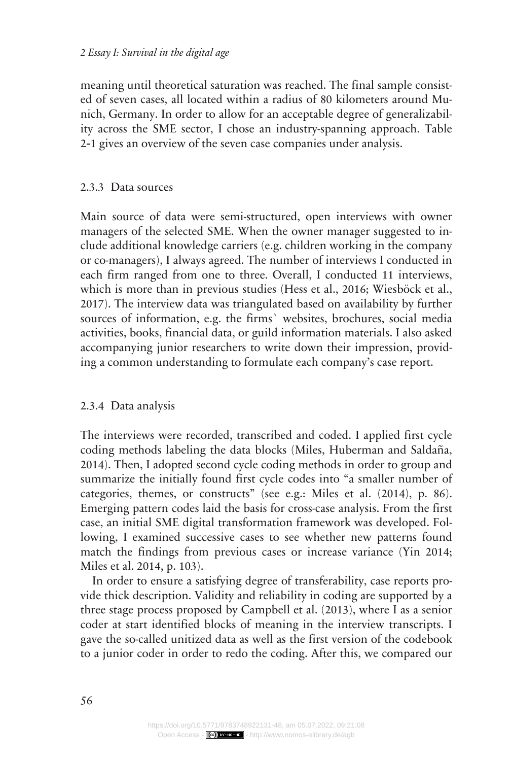meaning until theoretical saturation was reached. The final sample consisted of seven cases, all located within a radius of 80 kilometers around Munich, Germany. In order to allow for an acceptable degree of generalizability across the SME sector, I chose an industry-spanning approach. Table 2‑1 gives an overview of the seven case companies under analysis.

### Data sources 2.3.3

Main source of data were semi-structured, open interviews with owner managers of the selected SME. When the owner manager suggested to include additional knowledge carriers (e.g. children working in the company or co-managers), I always agreed. The number of interviews I conducted in each firm ranged from one to three. Overall, I conducted 11 interviews, which is more than in previous studies (Hess et al., 2016; Wiesböck et al., 2017). The interview data was triangulated based on availability by further sources of information, e.g. the firms` websites, brochures, social media activities, books, financial data, or guild information materials. I also asked accompanying junior researchers to write down their impression, providing a common understanding to formulate each company's case report.

## 2.3.4 Data analysis

The interviews were recorded, transcribed and coded. I applied first cycle coding methods labeling the data blocks (Miles, Huberman and Saldaña, 2014). Then, I adopted second cycle coding methods in order to group and summarize the initially found first cycle codes into "a smaller number of categories, themes, or constructs" (see e.g.: Miles et al. (2014), p. 86). Emerging pattern codes laid the basis for cross-case analysis. From the first case, an initial SME digital transformation framework was developed. Following, I examined successive cases to see whether new patterns found match the findings from previous cases or increase variance (Yin 2014; Miles et al. 2014, p. 103).

In order to ensure a satisfying degree of transferability, case reports provide thick description. Validity and reliability in coding are supported by a three stage process proposed by Campbell et al. (2013), where I as a senior coder at start identified blocks of meaning in the interview transcripts. I gave the so-called unitized data as well as the first version of the codebook to a junior coder in order to redo the coding. After this, we compared our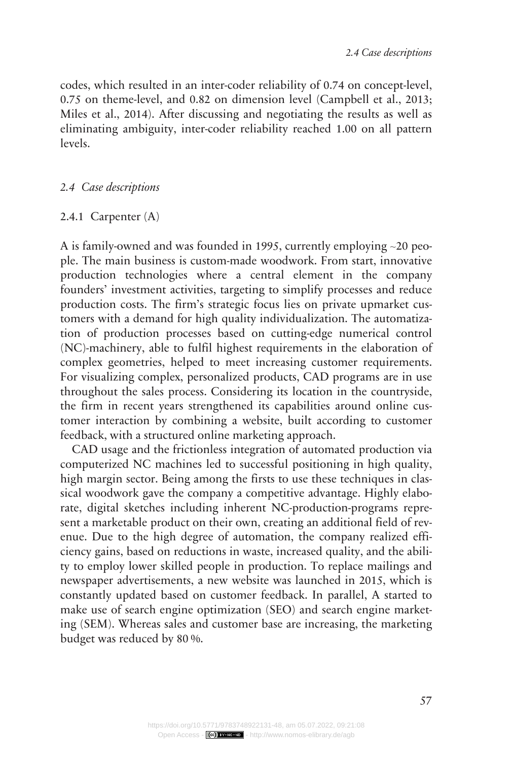codes, which resulted in an inter-coder reliability of 0.74 on concept-level, 0.75 on theme-level, and 0.82 on dimension level (Campbell et al., 2013; Miles et al., 2014). After discussing and negotiating the results as well as eliminating ambiguity, inter-coder reliability reached 1.00 on all pattern levels.

## *Case descriptions 2.4*

#### 2.4.1 Carpenter (A)

A is family-owned and was founded in 1995, currently employing ~20 people. The main business is custom-made woodwork. From start, innovative production technologies where a central element in the company founders' investment activities, targeting to simplify processes and reduce production costs. The firm's strategic focus lies on private upmarket customers with a demand for high quality individualization. The automatization of production processes based on cutting-edge numerical control (NC)-machinery, able to fulfil highest requirements in the elaboration of complex geometries, helped to meet increasing customer requirements. For visualizing complex, personalized products, CAD programs are in use throughout the sales process. Considering its location in the countryside, the firm in recent years strengthened its capabilities around online customer interaction by combining a website, built according to customer feedback, with a structured online marketing approach.

CAD usage and the frictionless integration of automated production via computerized NC machines led to successful positioning in high quality, high margin sector. Being among the firsts to use these techniques in classical woodwork gave the company a competitive advantage. Highly elaborate, digital sketches including inherent NC-production-programs represent a marketable product on their own, creating an additional field of revenue. Due to the high degree of automation, the company realized efficiency gains, based on reductions in waste, increased quality, and the ability to employ lower skilled people in production. To replace mailings and newspaper advertisements, a new website was launched in 2015, which is constantly updated based on customer feedback. In parallel, A started to make use of search engine optimization (SEO) and search engine marketing (SEM). Whereas sales and customer base are increasing, the marketing budget was reduced by 80 %.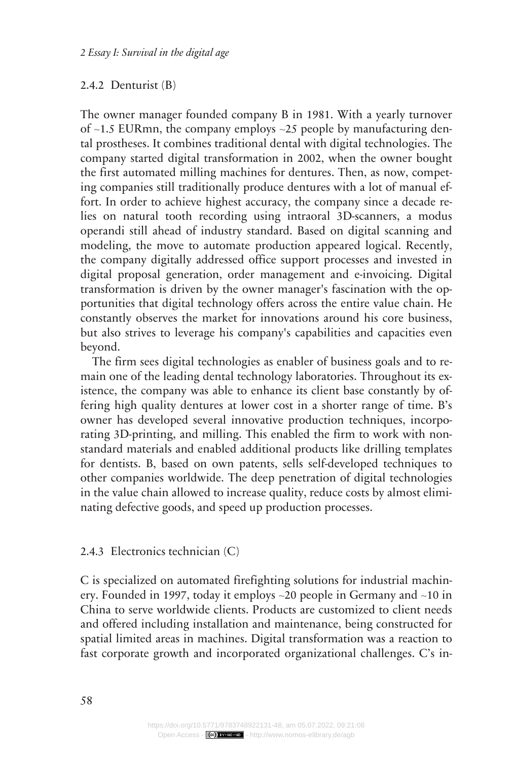#### 2.4.2 Denturist (B)

The owner manager founded company B in 1981. With a yearly turnover of  $\sim$ 1.5 EURmn, the company employs  $\sim$ 25 people by manufacturing dental prostheses. It combines traditional dental with digital technologies. The company started digital transformation in 2002, when the owner bought the first automated milling machines for dentures. Then, as now, competing companies still traditionally produce dentures with a lot of manual effort. In order to achieve highest accuracy, the company since a decade relies on natural tooth recording using intraoral 3D-scanners, a modus operandi still ahead of industry standard. Based on digital scanning and modeling, the move to automate production appeared logical. Recently, the company digitally addressed office support processes and invested in digital proposal generation, order management and e-invoicing. Digital transformation is driven by the owner manager's fascination with the opportunities that digital technology offers across the entire value chain. He constantly observes the market for innovations around his core business, but also strives to leverage his company's capabilities and capacities even beyond.

The firm sees digital technologies as enabler of business goals and to remain one of the leading dental technology laboratories. Throughout its existence, the company was able to enhance its client base constantly by offering high quality dentures at lower cost in a shorter range of time. B's owner has developed several innovative production techniques, incorporating 3D-printing, and milling. This enabled the firm to work with nonstandard materials and enabled additional products like drilling templates for dentists. B, based on own patents, sells self-developed techniques to other companies worldwide. The deep penetration of digital technologies in the value chain allowed to increase quality, reduce costs by almost eliminating defective goods, and speed up production processes.

#### 2.4.3 Electronics technician (C)

C is specialized on automated firefighting solutions for industrial machinery. Founded in 1997, today it employs ~20 people in Germany and ~10 in China to serve worldwide clients. Products are customized to client needs and offered including installation and maintenance, being constructed for spatial limited areas in machines. Digital transformation was a reaction to fast corporate growth and incorporated organizational challenges. C's in-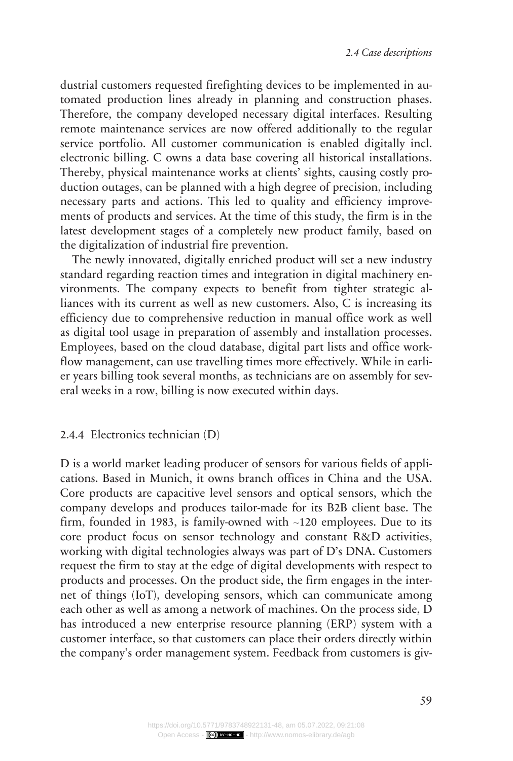dustrial customers requested firefighting devices to be implemented in automated production lines already in planning and construction phases. Therefore, the company developed necessary digital interfaces. Resulting remote maintenance services are now offered additionally to the regular service portfolio. All customer communication is enabled digitally incl. electronic billing. C owns a data base covering all historical installations. Thereby, physical maintenance works at clients' sights, causing costly production outages, can be planned with a high degree of precision, including necessary parts and actions. This led to quality and efficiency improvements of products and services. At the time of this study, the firm is in the latest development stages of a completely new product family, based on the digitalization of industrial fire prevention.

The newly innovated, digitally enriched product will set a new industry standard regarding reaction times and integration in digital machinery environments. The company expects to benefit from tighter strategic alliances with its current as well as new customers. Also, C is increasing its efficiency due to comprehensive reduction in manual office work as well as digital tool usage in preparation of assembly and installation processes. Employees, based on the cloud database, digital part lists and office workflow management, can use travelling times more effectively. While in earlier years billing took several months, as technicians are on assembly for several weeks in a row, billing is now executed within days.

#### 2.4.4 Electronics technician (D)

D is a world market leading producer of sensors for various fields of applications. Based in Munich, it owns branch offices in China and the USA. Core products are capacitive level sensors and optical sensors, which the company develops and produces tailor-made for its B2B client base. The firm, founded in 1983, is family-owned with ~120 employees. Due to its core product focus on sensor technology and constant R&D activities, working with digital technologies always was part of D's DNA. Customers request the firm to stay at the edge of digital developments with respect to products and processes. On the product side, the firm engages in the internet of things (IoT), developing sensors, which can communicate among each other as well as among a network of machines. On the process side, D has introduced a new enterprise resource planning (ERP) system with a customer interface, so that customers can place their orders directly within the company's order management system. Feedback from customers is giv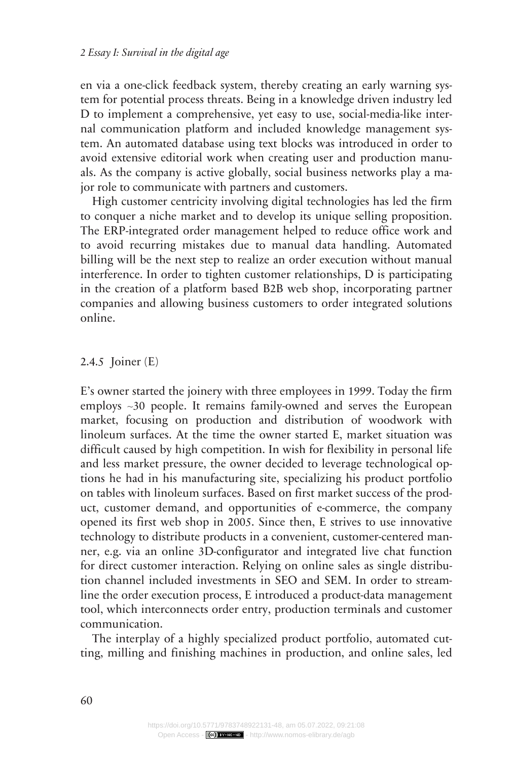en via a one-click feedback system, thereby creating an early warning system for potential process threats. Being in a knowledge driven industry led D to implement a comprehensive, yet easy to use, social-media-like internal communication platform and included knowledge management system. An automated database using text blocks was introduced in order to avoid extensive editorial work when creating user and production manuals. As the company is active globally, social business networks play a major role to communicate with partners and customers.

High customer centricity involving digital technologies has led the firm to conquer a niche market and to develop its unique selling proposition. The ERP-integrated order management helped to reduce office work and to avoid recurring mistakes due to manual data handling. Automated billing will be the next step to realize an order execution without manual interference. In order to tighten customer relationships, D is participating in the creation of a platform based B2B web shop, incorporating partner companies and allowing business customers to order integrated solutions online.

2.4.5 Joiner (E)

E's owner started the joinery with three employees in 1999. Today the firm employs ~30 people. It remains family-owned and serves the European market, focusing on production and distribution of woodwork with linoleum surfaces. At the time the owner started E, market situation was difficult caused by high competition. In wish for flexibility in personal life and less market pressure, the owner decided to leverage technological options he had in his manufacturing site, specializing his product portfolio on tables with linoleum surfaces. Based on first market success of the product, customer demand, and opportunities of e-commerce, the company opened its first web shop in 2005. Since then, E strives to use innovative technology to distribute products in a convenient, customer-centered manner, e.g. via an online 3D-configurator and integrated live chat function for direct customer interaction. Relying on online sales as single distribution channel included investments in SEO and SEM. In order to streamline the order execution process, E introduced a product-data management tool, which interconnects order entry, production terminals and customer communication.

The interplay of a highly specialized product portfolio, automated cutting, milling and finishing machines in production, and online sales, led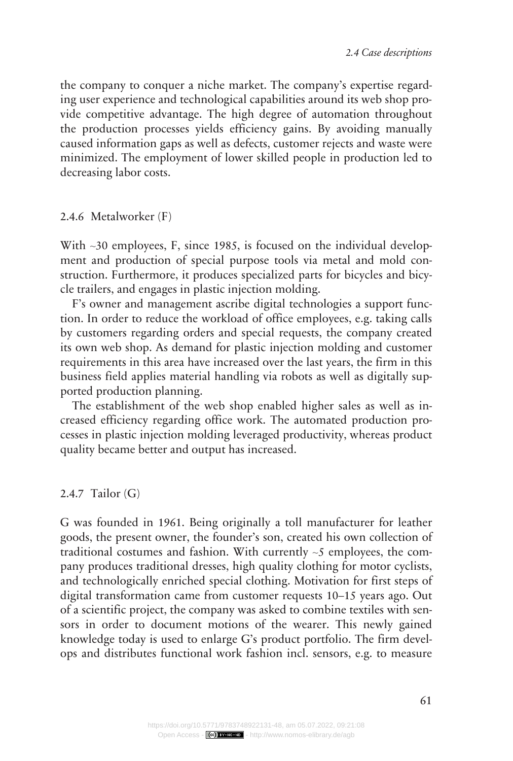the company to conquer a niche market. The company's expertise regarding user experience and technological capabilities around its web shop provide competitive advantage. The high degree of automation throughout the production processes yields efficiency gains. By avoiding manually caused information gaps as well as defects, customer rejects and waste were minimized. The employment of lower skilled people in production led to decreasing labor costs.

2.4.6 Metalworker (F)

With ~30 employees, F, since 1985, is focused on the individual development and production of special purpose tools via metal and mold construction. Furthermore, it produces specialized parts for bicycles and bicycle trailers, and engages in plastic injection molding.

F's owner and management ascribe digital technologies a support function. In order to reduce the workload of office employees, e.g. taking calls by customers regarding orders and special requests, the company created its own web shop. As demand for plastic injection molding and customer requirements in this area have increased over the last years, the firm in this business field applies material handling via robots as well as digitally supported production planning.

The establishment of the web shop enabled higher sales as well as increased efficiency regarding office work. The automated production processes in plastic injection molding leveraged productivity, whereas product quality became better and output has increased.

2.4.7 Tailor (G)

G was founded in 1961. Being originally a toll manufacturer for leather goods, the present owner, the founder's son, created his own collection of traditional costumes and fashion. With currently  $\sim$ 5 employees, the company produces traditional dresses, high quality clothing for motor cyclists, and technologically enriched special clothing. Motivation for first steps of digital transformation came from customer requests 10–15 years ago. Out of a scientific project, the company was asked to combine textiles with sensors in order to document motions of the wearer. This newly gained knowledge today is used to enlarge G's product portfolio. The firm develops and distributes functional work fashion incl. sensors, e.g. to measure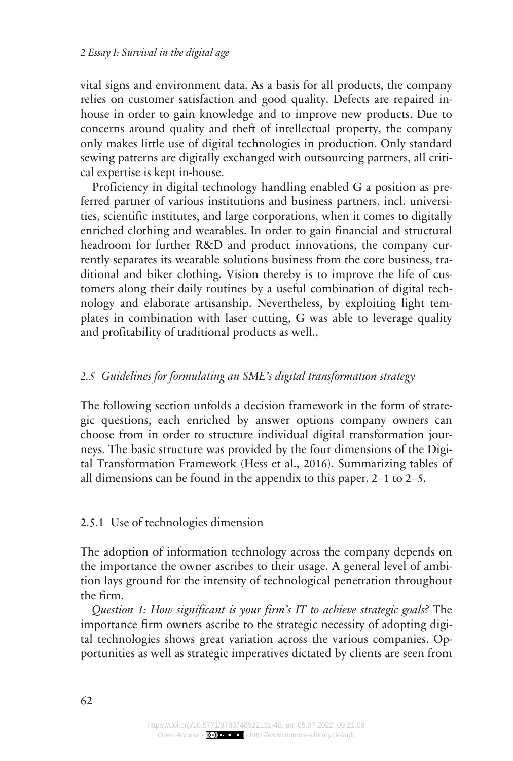vital signs and environment data. As a basis for all products, the company relies on customer satisfaction and good quality. Defects are repaired inhouse in order to gain knowledge and to improve new products. Due to concerns around quality and theft of intellectual property, the company only makes little use of digital technologies in production. Only standard sewing patterns are digitally exchanged with outsourcing partners, all critical expertise is kept in-house.

Proficiency in digital technology handling enabled G a position as preferred partner of various institutions and business partners, incl. universities, scientific institutes, and large corporations, when it comes to digitally enriched clothing and wearables. In order to gain financial and structural headroom for further R&D and product innovations, the company currently separates its wearable solutions business from the core business, traditional and biker clothing. Vision thereby is to improve the life of customers along their daily routines by a useful combination of digital technology and elaborate artisanship. Nevertheless, by exploiting light templates in combination with laser cutting, G was able to leverage quality and profitability of traditional products as well.,

### *Guidelines for formulating an SME's digital transformation strategy 2.5*

The following section unfolds a decision framework in the form of strategic questions, each enriched by answer options company owners can choose from in order to structure individual digital transformation journeys. The basic structure was provided by the four dimensions of the Digital Transformation Framework (Hess et al., 2016). Summarizing tables of all dimensions can be found in the appendix to this paper, 2–1 to 2–5.

## 2.5.1 Use of technologies dimension

The adoption of information technology across the company depends on the importance the owner ascribes to their usage. A general level of ambition lays ground for the intensity of technological penetration throughout the firm.

*Question 1: How significant is your firm's IT to achieve strategic goals?* The importance firm owners ascribe to the strategic necessity of adopting digital technologies shows great variation across the various companies. Opportunities as well as strategic imperatives dictated by clients are seen from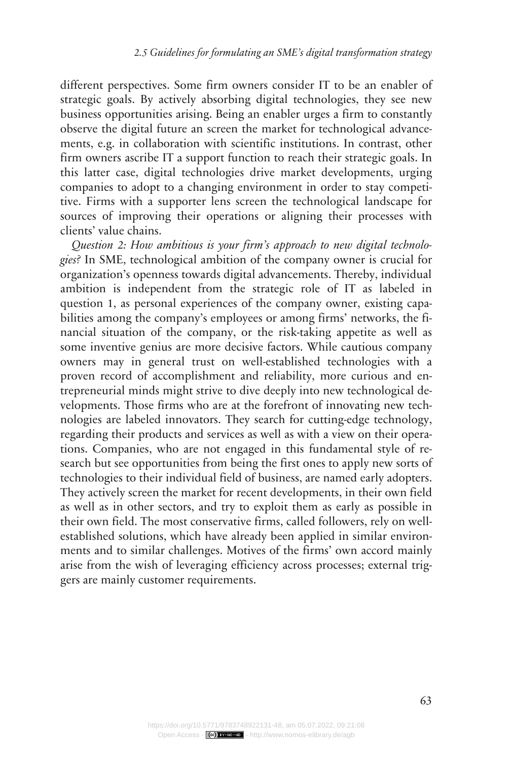different perspectives. Some firm owners consider IT to be an enabler of strategic goals. By actively absorbing digital technologies, they see new business opportunities arising. Being an enabler urges a firm to constantly observe the digital future an screen the market for technological advancements, e.g. in collaboration with scientific institutions. In contrast, other firm owners ascribe IT a support function to reach their strategic goals. In this latter case, digital technologies drive market developments, urging companies to adopt to a changing environment in order to stay competitive. Firms with a supporter lens screen the technological landscape for sources of improving their operations or aligning their processes with clients' value chains.

*Question 2: How ambitious is your firm's approach to new digital technologies?* In SME, technological ambition of the company owner is crucial for organization's openness towards digital advancements. Thereby, individual ambition is independent from the strategic role of IT as labeled in question 1, as personal experiences of the company owner, existing capabilities among the company's employees or among firms' networks, the financial situation of the company, or the risk-taking appetite as well as some inventive genius are more decisive factors. While cautious company owners may in general trust on well-established technologies with a proven record of accomplishment and reliability, more curious and entrepreneurial minds might strive to dive deeply into new technological developments. Those firms who are at the forefront of innovating new technologies are labeled innovators. They search for cutting-edge technology, regarding their products and services as well as with a view on their operations. Companies, who are not engaged in this fundamental style of research but see opportunities from being the first ones to apply new sorts of technologies to their individual field of business, are named early adopters. They actively screen the market for recent developments, in their own field as well as in other sectors, and try to exploit them as early as possible in their own field. The most conservative firms, called followers, rely on wellestablished solutions, which have already been applied in similar environments and to similar challenges. Motives of the firms' own accord mainly arise from the wish of leveraging efficiency across processes; external triggers are mainly customer requirements.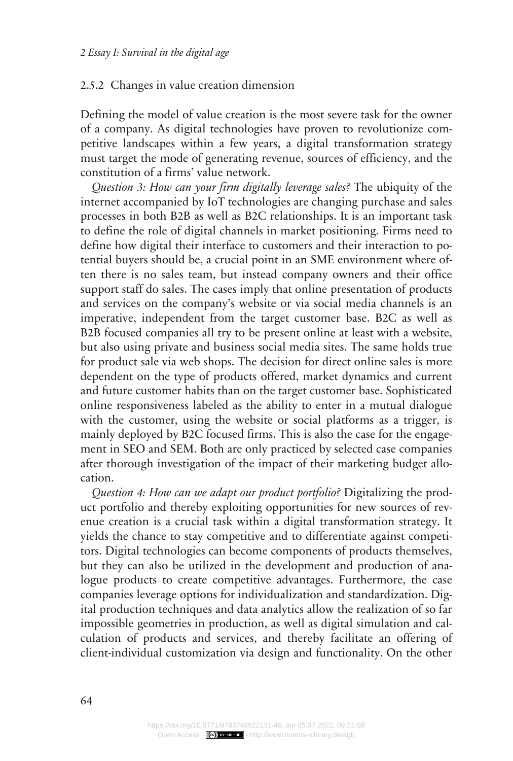#### 2.5.2 Changes in value creation dimension

Defining the model of value creation is the most severe task for the owner of a company. As digital technologies have proven to revolutionize competitive landscapes within a few years, a digital transformation strategy must target the mode of generating revenue, sources of efficiency, and the constitution of a firms' value network.

*Question 3: How can your firm digitally leverage sales?* The ubiquity of the internet accompanied by IoT technologies are changing purchase and sales processes in both B2B as well as B2C relationships. It is an important task to define the role of digital channels in market positioning. Firms need to define how digital their interface to customers and their interaction to potential buyers should be, a crucial point in an SME environment where often there is no sales team, but instead company owners and their office support staff do sales. The cases imply that online presentation of products and services on the company's website or via social media channels is an imperative, independent from the target customer base. B2C as well as B2B focused companies all try to be present online at least with a website, but also using private and business social media sites. The same holds true for product sale via web shops. The decision for direct online sales is more dependent on the type of products offered, market dynamics and current and future customer habits than on the target customer base. Sophisticated online responsiveness labeled as the ability to enter in a mutual dialogue with the customer, using the website or social platforms as a trigger, is mainly deployed by B2C focused firms. This is also the case for the engagement in SEO and SEM. Both are only practiced by selected case companies after thorough investigation of the impact of their marketing budget allocation.

*Question 4: How can we adapt our product portfolio?* Digitalizing the product portfolio and thereby exploiting opportunities for new sources of revenue creation is a crucial task within a digital transformation strategy. It yields the chance to stay competitive and to differentiate against competitors. Digital technologies can become components of products themselves, but they can also be utilized in the development and production of analogue products to create competitive advantages. Furthermore, the case companies leverage options for individualization and standardization. Digital production techniques and data analytics allow the realization of so far impossible geometries in production, as well as digital simulation and calculation of products and services, and thereby facilitate an offering of client-individual customization via design and functionality. On the other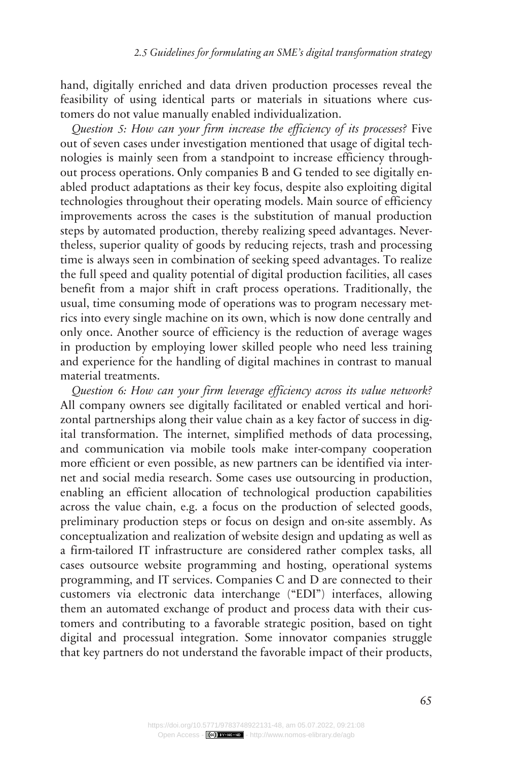hand, digitally enriched and data driven production processes reveal the feasibility of using identical parts or materials in situations where customers do not value manually enabled individualization.

*Question 5: How can your firm increase the efficiency of its processes?* Five out of seven cases under investigation mentioned that usage of digital technologies is mainly seen from a standpoint to increase efficiency throughout process operations. Only companies B and G tended to see digitally enabled product adaptations as their key focus, despite also exploiting digital technologies throughout their operating models. Main source of efficiency improvements across the cases is the substitution of manual production steps by automated production, thereby realizing speed advantages. Nevertheless, superior quality of goods by reducing rejects, trash and processing time is always seen in combination of seeking speed advantages. To realize the full speed and quality potential of digital production facilities, all cases benefit from a major shift in craft process operations. Traditionally, the usual, time consuming mode of operations was to program necessary metrics into every single machine on its own, which is now done centrally and only once. Another source of efficiency is the reduction of average wages in production by employing lower skilled people who need less training and experience for the handling of digital machines in contrast to manual material treatments.

*Question 6: How can your firm leverage efficiency across its value network?* All company owners see digitally facilitated or enabled vertical and horizontal partnerships along their value chain as a key factor of success in digital transformation. The internet, simplified methods of data processing, and communication via mobile tools make inter-company cooperation more efficient or even possible, as new partners can be identified via internet and social media research. Some cases use outsourcing in production, enabling an efficient allocation of technological production capabilities across the value chain, e.g. a focus on the production of selected goods, preliminary production steps or focus on design and on-site assembly. As conceptualization and realization of website design and updating as well as a firm-tailored IT infrastructure are considered rather complex tasks, all cases outsource website programming and hosting, operational systems programming, and IT services. Companies C and D are connected to their customers via electronic data interchange ("EDI") interfaces, allowing them an automated exchange of product and process data with their customers and contributing to a favorable strategic position, based on tight digital and processual integration. Some innovator companies struggle that key partners do not understand the favorable impact of their products,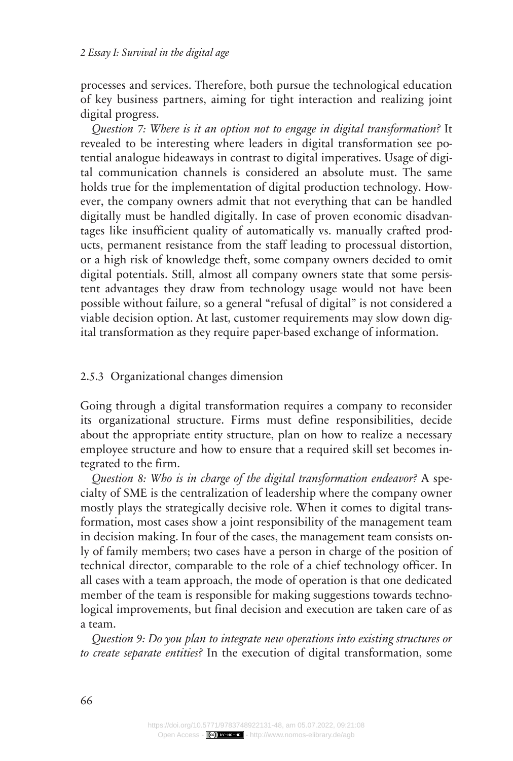processes and services. Therefore, both pursue the technological education of key business partners, aiming for tight interaction and realizing joint digital progress.

*Question 7: Where is it an option not to engage in digital transformation?* It revealed to be interesting where leaders in digital transformation see potential analogue hideaways in contrast to digital imperatives. Usage of digital communication channels is considered an absolute must. The same holds true for the implementation of digital production technology. However, the company owners admit that not everything that can be handled digitally must be handled digitally. In case of proven economic disadvantages like insufficient quality of automatically vs. manually crafted products, permanent resistance from the staff leading to processual distortion, or a high risk of knowledge theft, some company owners decided to omit digital potentials. Still, almost all company owners state that some persistent advantages they draw from technology usage would not have been possible without failure, so a general "refusal of digital" is not considered a viable decision option. At last, customer requirements may slow down digital transformation as they require paper-based exchange of information.

#### 2.5.3 Organizational changes dimension

Going through a digital transformation requires a company to reconsider its organizational structure. Firms must define responsibilities, decide about the appropriate entity structure, plan on how to realize a necessary employee structure and how to ensure that a required skill set becomes integrated to the firm.

*Question 8: Who is in charge of the digital transformation endeavor?* A specialty of SME is the centralization of leadership where the company owner mostly plays the strategically decisive role. When it comes to digital transformation, most cases show a joint responsibility of the management team in decision making. In four of the cases, the management team consists only of family members; two cases have a person in charge of the position of technical director, comparable to the role of a chief technology officer. In all cases with a team approach, the mode of operation is that one dedicated member of the team is responsible for making suggestions towards technological improvements, but final decision and execution are taken care of as a team.

*Question 9: Do you plan to integrate new operations into existing structures or to create separate entities?* In the execution of digital transformation, some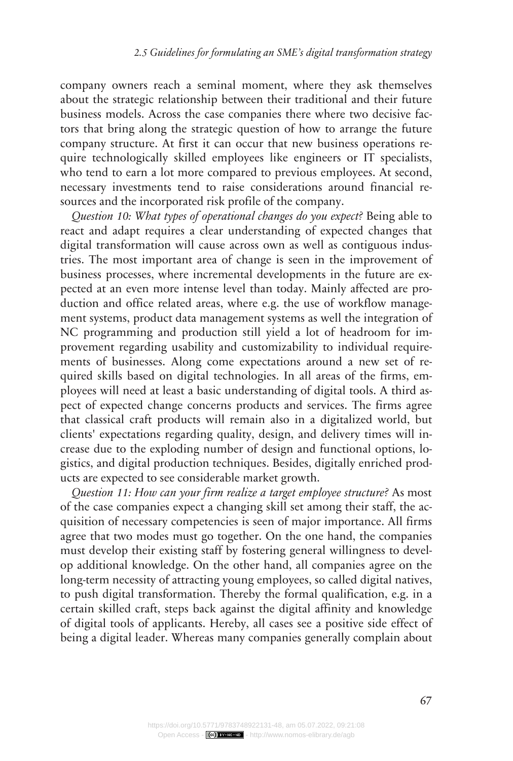company owners reach a seminal moment, where they ask themselves about the strategic relationship between their traditional and their future business models. Across the case companies there where two decisive factors that bring along the strategic question of how to arrange the future company structure. At first it can occur that new business operations require technologically skilled employees like engineers or IT specialists, who tend to earn a lot more compared to previous employees. At second, necessary investments tend to raise considerations around financial resources and the incorporated risk profile of the company.

*Question 10: What types of operational changes do you expect?* Being able to react and adapt requires a clear understanding of expected changes that digital transformation will cause across own as well as contiguous industries. The most important area of change is seen in the improvement of business processes, where incremental developments in the future are expected at an even more intense level than today. Mainly affected are production and office related areas, where e.g. the use of workflow management systems, product data management systems as well the integration of NC programming and production still yield a lot of headroom for improvement regarding usability and customizability to individual requirements of businesses. Along come expectations around a new set of required skills based on digital technologies. In all areas of the firms, employees will need at least a basic understanding of digital tools. A third aspect of expected change concerns products and services. The firms agree that classical craft products will remain also in a digitalized world, but clients' expectations regarding quality, design, and delivery times will increase due to the exploding number of design and functional options, logistics, and digital production techniques. Besides, digitally enriched products are expected to see considerable market growth.

*Question 11: How can your firm realize a target employee structure?* As most of the case companies expect a changing skill set among their staff, the acquisition of necessary competencies is seen of major importance. All firms agree that two modes must go together. On the one hand, the companies must develop their existing staff by fostering general willingness to develop additional knowledge. On the other hand, all companies agree on the long-term necessity of attracting young employees, so called digital natives, to push digital transformation. Thereby the formal qualification, e.g. in a certain skilled craft, steps back against the digital affinity and knowledge of digital tools of applicants. Hereby, all cases see a positive side effect of being a digital leader. Whereas many companies generally complain about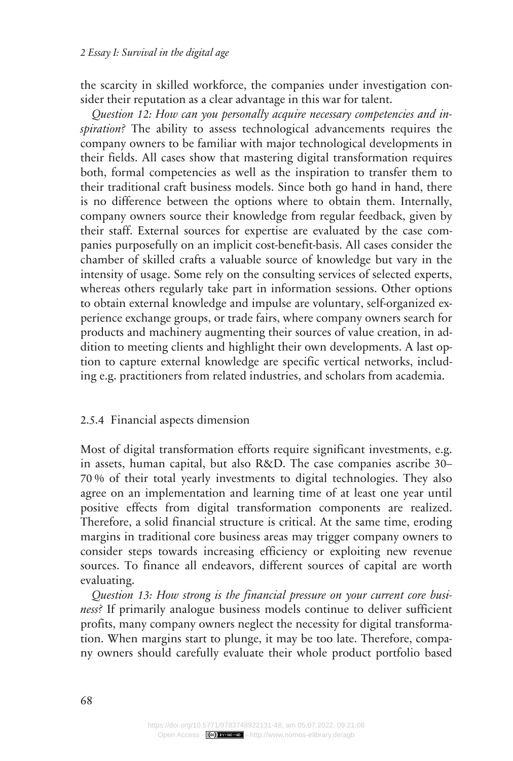the scarcity in skilled workforce, the companies under investigation consider their reputation as a clear advantage in this war for talent.

*Question 12: How can you personally acquire necessary competencies and inspiration?* The ability to assess technological advancements requires the company owners to be familiar with major technological developments in their fields. All cases show that mastering digital transformation requires both, formal competencies as well as the inspiration to transfer them to their traditional craft business models. Since both go hand in hand, there is no difference between the options where to obtain them. Internally, company owners source their knowledge from regular feedback, given by their staff. External sources for expertise are evaluated by the case companies purposefully on an implicit cost-benefit-basis. All cases consider the chamber of skilled crafts a valuable source of knowledge but vary in the intensity of usage. Some rely on the consulting services of selected experts, whereas others regularly take part in information sessions. Other options to obtain external knowledge and impulse are voluntary, self-organized experience exchange groups, or trade fairs, where company owners search for products and machinery augmenting their sources of value creation, in addition to meeting clients and highlight their own developments. A last option to capture external knowledge are specific vertical networks, including e.g. practitioners from related industries, and scholars from academia.

#### 2.5.4 Financial aspects dimension

Most of digital transformation efforts require significant investments, e.g. in assets, human capital, but also R&D. The case companies ascribe 30– 70 % of their total yearly investments to digital technologies. They also agree on an implementation and learning time of at least one year until positive effects from digital transformation components are realized. Therefore, a solid financial structure is critical. At the same time, eroding margins in traditional core business areas may trigger company owners to consider steps towards increasing efficiency or exploiting new revenue sources. To finance all endeavors, different sources of capital are worth evaluating.

*Question 13: How strong is the financial pressure on your current core business?* If primarily analogue business models continue to deliver sufficient profits, many company owners neglect the necessity for digital transformation. When margins start to plunge, it may be too late. Therefore, company owners should carefully evaluate their whole product portfolio based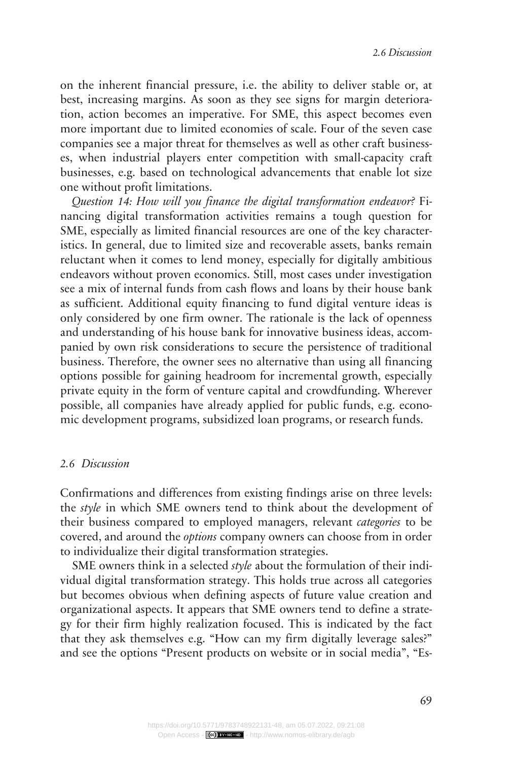on the inherent financial pressure, i.e. the ability to deliver stable or, at best, increasing margins. As soon as they see signs for margin deterioration, action becomes an imperative. For SME, this aspect becomes even more important due to limited economies of scale. Four of the seven case companies see a major threat for themselves as well as other craft businesses, when industrial players enter competition with small-capacity craft businesses, e.g. based on technological advancements that enable lot size one without profit limitations.

*Question 14: How will you finance the digital transformation endeavor?* Financing digital transformation activities remains a tough question for SME, especially as limited financial resources are one of the key characteristics. In general, due to limited size and recoverable assets, banks remain reluctant when it comes to lend money, especially for digitally ambitious endeavors without proven economics. Still, most cases under investigation see a mix of internal funds from cash flows and loans by their house bank as sufficient. Additional equity financing to fund digital venture ideas is only considered by one firm owner. The rationale is the lack of openness and understanding of his house bank for innovative business ideas, accompanied by own risk considerations to secure the persistence of traditional business. Therefore, the owner sees no alternative than using all financing options possible for gaining headroom for incremental growth, especially private equity in the form of venture capital and crowdfunding. Wherever possible, all companies have already applied for public funds, e.g. economic development programs, subsidized loan programs, or research funds.

#### *Discussion 2.6*

Confirmations and differences from existing findings arise on three levels: the *style* in which SME owners tend to think about the development of their business compared to employed managers, relevant *categories* to be covered, and around the *options* company owners can choose from in order to individualize their digital transformation strategies.

SME owners think in a selected *style* about the formulation of their individual digital transformation strategy. This holds true across all categories but becomes obvious when defining aspects of future value creation and organizational aspects. It appears that SME owners tend to define a strategy for their firm highly realization focused. This is indicated by the fact that they ask themselves e.g. "How can my firm digitally leverage sales?" and see the options "Present products on website or in social media", "Es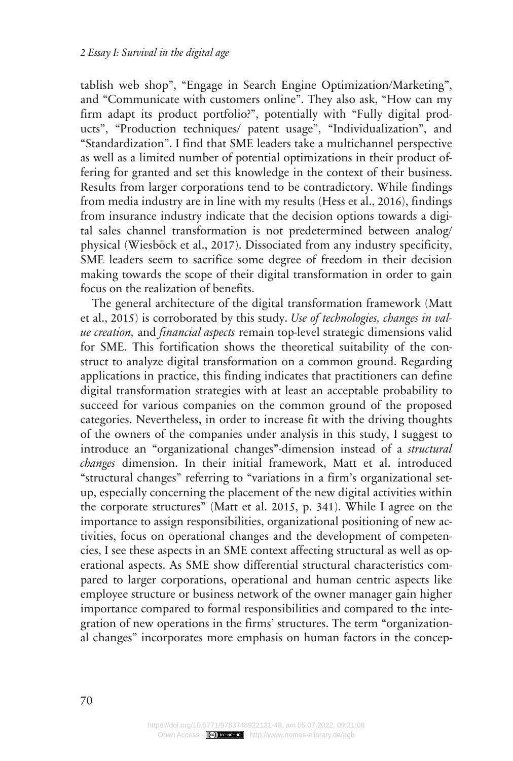tablish web shop", "Engage in Search Engine Optimization/Marketing", and "Communicate with customers online". They also ask, "How can my firm adapt its product portfolio?", potentially with "Fully digital products", "Production techniques/ patent usage", "Individualization", and "Standardization". I find that SME leaders take a multichannel perspective as well as a limited number of potential optimizations in their product offering for granted and set this knowledge in the context of their business. Results from larger corporations tend to be contradictory. While findings from media industry are in line with my results (Hess et al., 2016), findings from insurance industry indicate that the decision options towards a digital sales channel transformation is not predetermined between analog/ physical (Wiesböck et al., 2017). Dissociated from any industry specificity, SME leaders seem to sacrifice some degree of freedom in their decision making towards the scope of their digital transformation in order to gain focus on the realization of benefits.

The general architecture of the digital transformation framework (Matt et al., 2015) is corroborated by this study. *Use of technologies, changes in value creation,* and *financial aspects* remain top-level strategic dimensions valid for SME. This fortification shows the theoretical suitability of the construct to analyze digital transformation on a common ground. Regarding applications in practice, this finding indicates that practitioners can define digital transformation strategies with at least an acceptable probability to succeed for various companies on the common ground of the proposed categories. Nevertheless, in order to increase fit with the driving thoughts of the owners of the companies under analysis in this study, I suggest to introduce an "organizational changes"-dimension instead of a *structural changes* dimension. In their initial framework, Matt et al. introduced "structural changes" referring to "variations in a firm's organizational setup, especially concerning the placement of the new digital activities within the corporate structures" (Matt et al. 2015, p. 341). While I agree on the importance to assign responsibilities, organizational positioning of new activities, focus on operational changes and the development of competencies, I see these aspects in an SME context affecting structural as well as operational aspects. As SME show differential structural characteristics compared to larger corporations, operational and human centric aspects like employee structure or business network of the owner manager gain higher importance compared to formal responsibilities and compared to the integration of new operations in the firms' structures. The term "organizational changes" incorporates more emphasis on human factors in the concep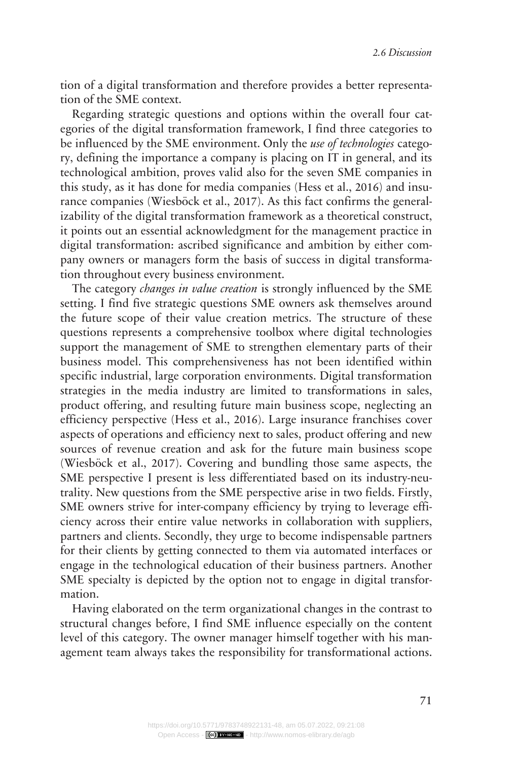tion of a digital transformation and therefore provides a better representation of the SME context.

Regarding strategic questions and options within the overall four categories of the digital transformation framework, I find three categories to be influenced by the SME environment. Only the *use of technologies* category, defining the importance a company is placing on IT in general, and its technological ambition, proves valid also for the seven SME companies in this study, as it has done for media companies (Hess et al., 2016) and insurance companies (Wiesböck et al., 2017). As this fact confirms the generalizability of the digital transformation framework as a theoretical construct, it points out an essential acknowledgment for the management practice in digital transformation: ascribed significance and ambition by either company owners or managers form the basis of success in digital transformation throughout every business environment.

The category *changes in value creation* is strongly influenced by the SME setting. I find five strategic questions SME owners ask themselves around the future scope of their value creation metrics. The structure of these questions represents a comprehensive toolbox where digital technologies support the management of SME to strengthen elementary parts of their business model. This comprehensiveness has not been identified within specific industrial, large corporation environments. Digital transformation strategies in the media industry are limited to transformations in sales, product offering, and resulting future main business scope, neglecting an efficiency perspective (Hess et al., 2016). Large insurance franchises cover aspects of operations and efficiency next to sales, product offering and new sources of revenue creation and ask for the future main business scope (Wiesböck et al., 2017). Covering and bundling those same aspects, the SME perspective I present is less differentiated based on its industry-neutrality. New questions from the SME perspective arise in two fields. Firstly, SME owners strive for inter-company efficiency by trying to leverage efficiency across their entire value networks in collaboration with suppliers, partners and clients. Secondly, they urge to become indispensable partners for their clients by getting connected to them via automated interfaces or engage in the technological education of their business partners. Another SME specialty is depicted by the option not to engage in digital transformation.

Having elaborated on the term organizational changes in the contrast to structural changes before, I find SME influence especially on the content level of this category. The owner manager himself together with his management team always takes the responsibility for transformational actions.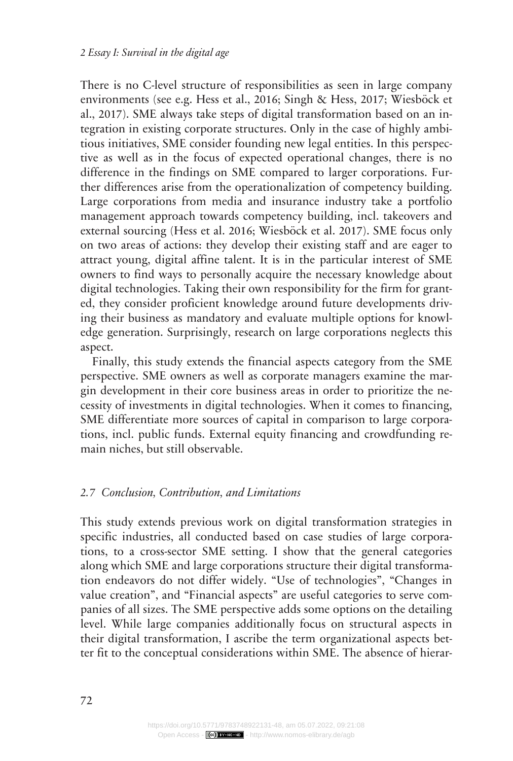There is no C-level structure of responsibilities as seen in large company environments (see e.g. Hess et al., 2016; Singh & Hess, 2017; Wiesböck et al., 2017). SME always take steps of digital transformation based on an integration in existing corporate structures. Only in the case of highly ambitious initiatives, SME consider founding new legal entities. In this perspective as well as in the focus of expected operational changes, there is no difference in the findings on SME compared to larger corporations. Further differences arise from the operationalization of competency building. Large corporations from media and insurance industry take a portfolio management approach towards competency building, incl. takeovers and external sourcing (Hess et al. 2016; Wiesböck et al. 2017). SME focus only on two areas of actions: they develop their existing staff and are eager to attract young, digital affine talent. It is in the particular interest of SME owners to find ways to personally acquire the necessary knowledge about digital technologies. Taking their own responsibility for the firm for granted, they consider proficient knowledge around future developments driving their business as mandatory and evaluate multiple options for knowledge generation. Surprisingly, research on large corporations neglects this aspect.

Finally, this study extends the financial aspects category from the SME perspective. SME owners as well as corporate managers examine the margin development in their core business areas in order to prioritize the necessity of investments in digital technologies. When it comes to financing, SME differentiate more sources of capital in comparison to large corporations, incl. public funds. External equity financing and crowdfunding remain niches, but still observable.

#### *Conclusion, Contribution, and Limitations 2.7*

This study extends previous work on digital transformation strategies in specific industries, all conducted based on case studies of large corporations, to a cross-sector SME setting. I show that the general categories along which SME and large corporations structure their digital transformation endeavors do not differ widely. "Use of technologies", "Changes in value creation", and "Financial aspects" are useful categories to serve companies of all sizes. The SME perspective adds some options on the detailing level. While large companies additionally focus on structural aspects in their digital transformation, I ascribe the term organizational aspects better fit to the conceptual considerations within SME. The absence of hierar-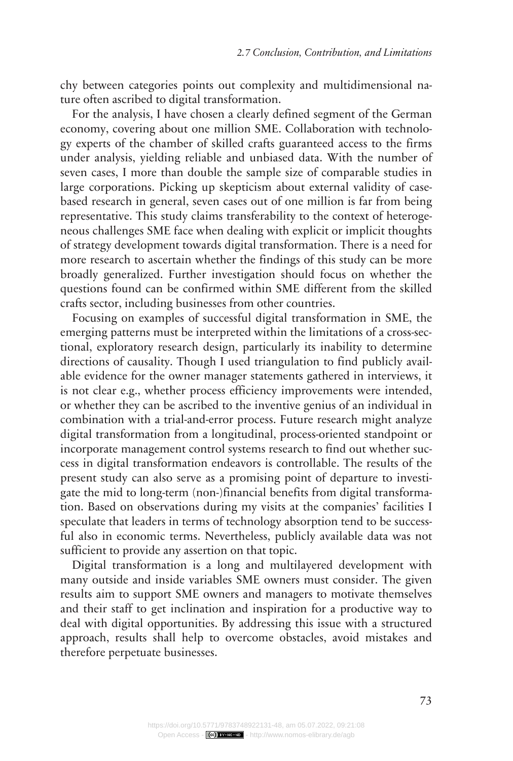chy between categories points out complexity and multidimensional nature often ascribed to digital transformation.

For the analysis, I have chosen a clearly defined segment of the German economy, covering about one million SME. Collaboration with technology experts of the chamber of skilled crafts guaranteed access to the firms under analysis, yielding reliable and unbiased data. With the number of seven cases, I more than double the sample size of comparable studies in large corporations. Picking up skepticism about external validity of casebased research in general, seven cases out of one million is far from being representative. This study claims transferability to the context of heterogeneous challenges SME face when dealing with explicit or implicit thoughts of strategy development towards digital transformation. There is a need for more research to ascertain whether the findings of this study can be more broadly generalized. Further investigation should focus on whether the questions found can be confirmed within SME different from the skilled crafts sector, including businesses from other countries.

Focusing on examples of successful digital transformation in SME, the emerging patterns must be interpreted within the limitations of a cross-sectional, exploratory research design, particularly its inability to determine directions of causality. Though I used triangulation to find publicly available evidence for the owner manager statements gathered in interviews, it is not clear e.g., whether process efficiency improvements were intended, or whether they can be ascribed to the inventive genius of an individual in combination with a trial-and-error process. Future research might analyze digital transformation from a longitudinal, process-oriented standpoint or incorporate management control systems research to find out whether success in digital transformation endeavors is controllable. The results of the present study can also serve as a promising point of departure to investigate the mid to long-term (non-)financial benefits from digital transformation. Based on observations during my visits at the companies' facilities I speculate that leaders in terms of technology absorption tend to be successful also in economic terms. Nevertheless, publicly available data was not sufficient to provide any assertion on that topic.

Digital transformation is a long and multilayered development with many outside and inside variables SME owners must consider. The given results aim to support SME owners and managers to motivate themselves and their staff to get inclination and inspiration for a productive way to deal with digital opportunities. By addressing this issue with a structured approach, results shall help to overcome obstacles, avoid mistakes and therefore perpetuate businesses.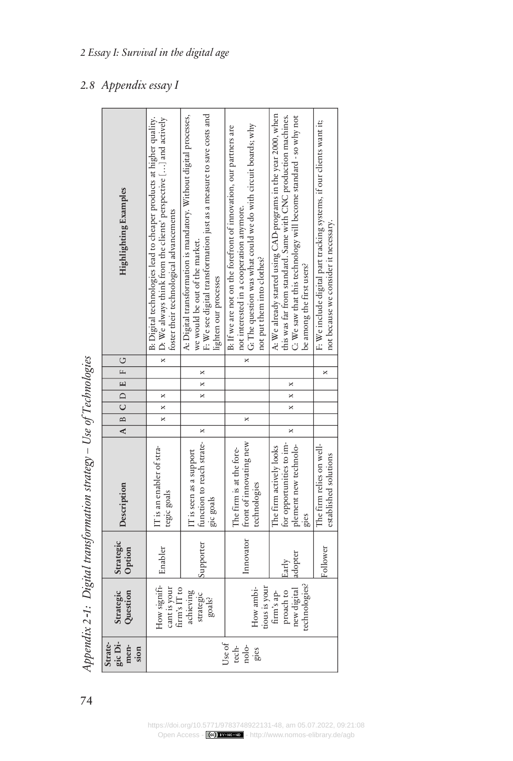| gic Di-<br>Strate-<br>men-<br>sion | Strategic<br>Question                                           | Strategic<br>Option | Description                                                                          | A B C D E F G |            |   |   | Highlighting Examples                                                                                                                                                                                                              |
|------------------------------------|-----------------------------------------------------------------|---------------------|--------------------------------------------------------------------------------------|---------------|------------|---|---|------------------------------------------------------------------------------------------------------------------------------------------------------------------------------------------------------------------------------------|
|                                    | $How$ signifi-<br>cant is your<br>firm's IT to                  | Enabler             | IT is an enabler of stra-<br>tegic goals                                             |               | $x \mid x$ |   |   | B: Digital technologies lead to cheaper products at higher quality.<br>x   D: We always think from the clients' perspective [] and actively<br>foster their technological advancements                                             |
|                                    | achieving<br>strategic<br>goals?                                | Supporter           | function to reach strate-   x<br>IT is seen as a support<br>gic goals                |               |            | × | × | A: Digital transformation is mandatory. Without digital processes,<br>F: We see digital transformation just as a measure to save costs and<br>we would be out of the market.<br>lighten our processes                              |
| Use of<br>tech-<br>nolo-<br>gies   | tious is your<br>How ambi-                                      |                     | Innovator   front of innovating new<br>The firm is at the fore-<br>technologies      |               | ×          |   |   | G: The question was what could we do with circuit boards; why<br>B: If we are not on the forefront of innovation, our partners are<br>not interested in a cooperation anymore.<br>not put them into clothes?                       |
|                                    | new digital adopter<br>technologies?<br>proach to<br>firm's ap- | Early               | for opportunities to im-<br>plement new technolo-<br>The firm actively looks<br>gies | ×             | ×          | × |   | A: We already started using CAD-programs in the year 2000, when<br>this was far from standard. Same with CNC production machines.<br>C: We saw that this technology will become standard - so why not<br>be among the first users? |
|                                    |                                                                 | Follower            | The firm relies on well-<br>established solutions                                    |               |            |   | × | F: We include digital part tracking systems, if our clients want it;<br>not because we consider it necessary.                                                                                                                      |

Appendix 2-1: Digital transformation strategy - Use of Technologies *Digital transformation strategy – Use of Technologies Appendix 2*‑*1:*

### *Appendix essay I 2.8*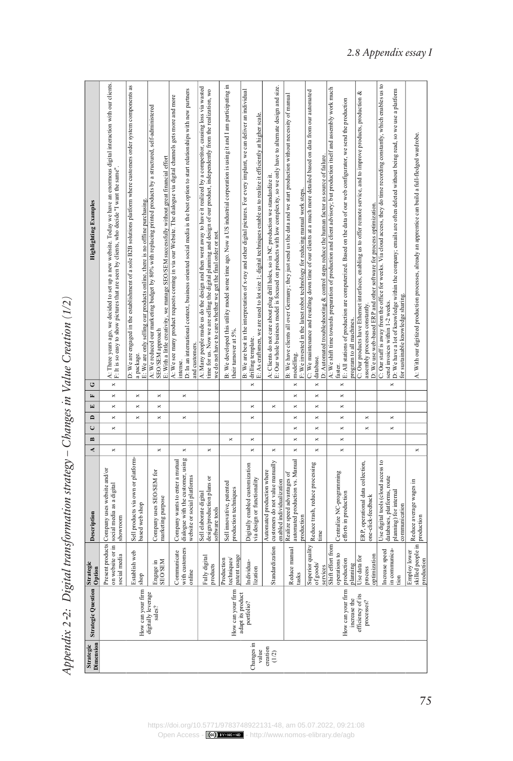Appendix 2-2: Digital transformation strategy - Changes in Value Creation (1/2) *Digital transformation strategy – Changes in Value Creation (1/2) Appendix 2*‑*2:*

| <b>Highlighting Examples</b>    | A: Three years ago, we decided to set up a new website. Today we have an enormous digital interaction with our clients.<br>F: It is so easy to show pictures that are seen by clients, who decide "I want the same". | D: We are engaged in the establishment of a sole B2B solutions platform where customers order system components as<br>3: We are only selling our products online, there is no offline purchasing.<br>a package. | A: We reduced our marketing budget by 80% with replacing printed products by a structured, self-administered<br>E: With a little creativity, we manage SEO/SEM successfully without great financial effort<br>SEO/SEM approach | D: In an international context, business oriented social media is the best option to start relationships with new partners<br>A: We see many product requests coming in via our Website. The dialogue via digital channels gets more and more<br>and customers.<br>intense. | A: Many people made us do the design and then went away to have it realized by a competitor, causing loss via wasted<br>ime for us. Now we are selling the digital planning and design of our product, independently from the realization, wo<br>we do not have to care whether we get the final order or not. | B: We developed this utility model some time ago. Now a US industrial corporation is using it and I am participating in<br>heir turnover at 5%. | B: We are best in the interpretation of x-ray and other digital pictures. For every implant, we can deliver an individual<br>3: As craftsmen, we are used to lot size 1; digital techniques enable us to realize it efficiently at higher scale.<br>drilling template. | E: Our whole business model is focused on products with low complexity, so we only have to alternate design and size.<br>A: Clients do not care about plug drill holes, so in NC production we standardize it. | B: We have clients all over Germany; they just send us the data and we start production without necessity of manual<br>7: We invested in the latest robot technology for reducing manual work steps.<br>modelling. | C: We maintenance and resulting down time of our clients at a much more detailed based on data from our automated<br>D: Automated troubleshooting & control steps reduce the human factor as source of failure.<br>database. | A: We shift time towards preparation of production and client advisory; but production itself and assembly work much<br>E: All stations of production are computerized. Based on the data of our web configurator, we send the production<br>program to all machines.<br>aster. | C: Our products have Ethernet interfaces, enabling us to offer remote service, and to improve products, production &<br>D: We use web-based ERP and other software for process optimization.<br>assembly processes constantly. | C: Our staff is away from the office for weeks. Via cloud access, they do time recording constantly, which enables us to<br>D: We have a lot of knowledge within the company, emails are often deleted without being read, so we use a platform<br>for sustainable knowledge sharing.<br>send invoices within 1-2 weeks. | A: With our digitized production processes, already an apprentice can build a full-fledged wardrobe. |
|---------------------------------|----------------------------------------------------------------------------------------------------------------------------------------------------------------------------------------------------------------------|-----------------------------------------------------------------------------------------------------------------------------------------------------------------------------------------------------------------|--------------------------------------------------------------------------------------------------------------------------------------------------------------------------------------------------------------------------------|-----------------------------------------------------------------------------------------------------------------------------------------------------------------------------------------------------------------------------------------------------------------------------|----------------------------------------------------------------------------------------------------------------------------------------------------------------------------------------------------------------------------------------------------------------------------------------------------------------|-------------------------------------------------------------------------------------------------------------------------------------------------|------------------------------------------------------------------------------------------------------------------------------------------------------------------------------------------------------------------------------------------------------------------------|----------------------------------------------------------------------------------------------------------------------------------------------------------------------------------------------------------------|--------------------------------------------------------------------------------------------------------------------------------------------------------------------------------------------------------------------|------------------------------------------------------------------------------------------------------------------------------------------------------------------------------------------------------------------------------|---------------------------------------------------------------------------------------------------------------------------------------------------------------------------------------------------------------------------------------------------------------------------------|--------------------------------------------------------------------------------------------------------------------------------------------------------------------------------------------------------------------------------|--------------------------------------------------------------------------------------------------------------------------------------------------------------------------------------------------------------------------------------------------------------------------------------------------------------------------|------------------------------------------------------------------------------------------------------|
| O<br>$\mathbf{r}$               | ×<br>$\times$                                                                                                                                                                                                        | $\times$                                                                                                                                                                                                        | $\times$                                                                                                                                                                                                                       | ×                                                                                                                                                                                                                                                                           |                                                                                                                                                                                                                                                                                                                |                                                                                                                                                 | ×                                                                                                                                                                                                                                                                      |                                                                                                                                                                                                                | ×<br>×                                                                                                                                                                                                             | ×<br>$\overline{\mathbf{x}}$                                                                                                                                                                                                 | ×<br>$\times$                                                                                                                                                                                                                                                                   |                                                                                                                                                                                                                                | ×                                                                                                                                                                                                                                                                                                                        |                                                                                                      |
| $\boxed{\underline{\mathbf{r}}$ | ×                                                                                                                                                                                                                    | ×                                                                                                                                                                                                               | ×                                                                                                                                                                                                                              |                                                                                                                                                                                                                                                                             |                                                                                                                                                                                                                                                                                                                |                                                                                                                                                 | ×                                                                                                                                                                                                                                                                      | ×                                                                                                                                                                                                              | ×                                                                                                                                                                                                                  | ×                                                                                                                                                                                                                            | ×                                                                                                                                                                                                                                                                               |                                                                                                                                                                                                                                |                                                                                                                                                                                                                                                                                                                          |                                                                                                      |
| $\mathbf{r}$                    | $\times$                                                                                                                                                                                                             | $\times$                                                                                                                                                                                                        | ×                                                                                                                                                                                                                              | ×                                                                                                                                                                                                                                                                           |                                                                                                                                                                                                                                                                                                                |                                                                                                                                                 | $\times$                                                                                                                                                                                                                                                               |                                                                                                                                                                                                                | ×                                                                                                                                                                                                                  | $\times$                                                                                                                                                                                                                     | ×                                                                                                                                                                                                                                                                               | $\times$                                                                                                                                                                                                                       | ×                                                                                                                                                                                                                                                                                                                        |                                                                                                      |
| $\cup$                          | ×                                                                                                                                                                                                                    |                                                                                                                                                                                                                 |                                                                                                                                                                                                                                |                                                                                                                                                                                                                                                                             |                                                                                                                                                                                                                                                                                                                |                                                                                                                                                 |                                                                                                                                                                                                                                                                        |                                                                                                                                                                                                                | ×                                                                                                                                                                                                                  | ×                                                                                                                                                                                                                            | ×                                                                                                                                                                                                                                                                               | $\times$                                                                                                                                                                                                                       | ×                                                                                                                                                                                                                                                                                                                        |                                                                                                      |
| $\mathbf{r}$                    |                                                                                                                                                                                                                      |                                                                                                                                                                                                                 |                                                                                                                                                                                                                                |                                                                                                                                                                                                                                                                             |                                                                                                                                                                                                                                                                                                                | $\times$                                                                                                                                        | $\times$                                                                                                                                                                                                                                                               |                                                                                                                                                                                                                | ×                                                                                                                                                                                                                  | $\overline{\mathbf{x}}$                                                                                                                                                                                                      | ×                                                                                                                                                                                                                                                                               |                                                                                                                                                                                                                                |                                                                                                                                                                                                                                                                                                                          |                                                                                                      |
| ₹                               | $\times$                                                                                                                                                                                                             |                                                                                                                                                                                                                 | ×                                                                                                                                                                                                                              | ×                                                                                                                                                                                                                                                                           | ×                                                                                                                                                                                                                                                                                                              |                                                                                                                                                 | ×                                                                                                                                                                                                                                                                      | ×                                                                                                                                                                                                              | ×                                                                                                                                                                                                                  | ×                                                                                                                                                                                                                            | $\times$                                                                                                                                                                                                                                                                        |                                                                                                                                                                                                                                |                                                                                                                                                                                                                                                                                                                          | ×                                                                                                    |
| Description                     | Present products Company uses website and/or<br>on website or in social media as a digital<br>showroom                                                                                                               | Sell products via own or platform-<br>based web shop                                                                                                                                                            | Company uses SEO/SEM for<br>marketing purpose                                                                                                                                                                                  | dialogue with the customer, using<br>Company wants to enter a mutual<br>website or social platforms                                                                                                                                                                         | design/production plans or<br>Sell elaborate digital<br>software tools                                                                                                                                                                                                                                         | Sell innovative, patented<br>production techniques                                                                                              | Digitally enabled customization<br>via design or functionality                                                                                                                                                                                                         | customers do not value manually<br>Automated production where<br>enabled individualization                                                                                                                     | automated production vs. Manual<br>Realize speed advantages of<br>production                                                                                                                                       | Reduce trash, reduce processing<br>time                                                                                                                                                                                      | Centralize NC-programming<br>efforts in production                                                                                                                                                                                                                              | ERP, operational data collection,<br>one-click-feedback                                                                                                                                                                        | Use digital tools (cloud access to<br>databases, platforms, route<br>planning) for internal<br>communication                                                                                                                                                                                                             | Reduce average wages in<br>production                                                                |
| Strategic<br>Option             | social media                                                                                                                                                                                                         | Establish web<br>shop                                                                                                                                                                                           | <b>NHS/OHS</b><br>ingage in                                                                                                                                                                                                    | with customers<br>Communicate<br>anline                                                                                                                                                                                                                                     | Fully digital<br>products                                                                                                                                                                                                                                                                                      | patent usage<br>techniques<br>Production                                                                                                        | ndividua-<br>ization                                                                                                                                                                                                                                                   | Standardization                                                                                                                                                                                                | Reduce manual<br>tasks                                                                                                                                                                                             | Superior quality<br>of goods/<br>services                                                                                                                                                                                    | Shift effort from<br>operations to<br>production<br>planning                                                                                                                                                                                                                    | ptimization<br>Jse data for<br>process                                                                                                                                                                                         | in communica-<br>ncrease speed<br>ion                                                                                                                                                                                                                                                                                    | skilled people in<br><b>Employ lower</b><br>production                                               |
| <b>Strategic Question</b>       |                                                                                                                                                                                                                      | How can your firm                                                                                                                                                                                               | digitally leverage<br>sales?                                                                                                                                                                                                   |                                                                                                                                                                                                                                                                             |                                                                                                                                                                                                                                                                                                                | How can your firm                                                                                                                               | adapt its product<br>portfolio?                                                                                                                                                                                                                                        |                                                                                                                                                                                                                |                                                                                                                                                                                                                    |                                                                                                                                                                                                                              | How can your firm<br>increase the                                                                                                                                                                                                                                               | efficiency of its<br>processes?                                                                                                                                                                                                |                                                                                                                                                                                                                                                                                                                          |                                                                                                      |
| Dimension<br>Strategic          |                                                                                                                                                                                                                      |                                                                                                                                                                                                                 |                                                                                                                                                                                                                                |                                                                                                                                                                                                                                                                             |                                                                                                                                                                                                                                                                                                                |                                                                                                                                                 | Changes in<br>value                                                                                                                                                                                                                                                    | creation<br>(1/2)                                                                                                                                                                                              |                                                                                                                                                                                                                    |                                                                                                                                                                                                                              |                                                                                                                                                                                                                                                                                 |                                                                                                                                                                                                                                |                                                                                                                                                                                                                                                                                                                          |                                                                                                      |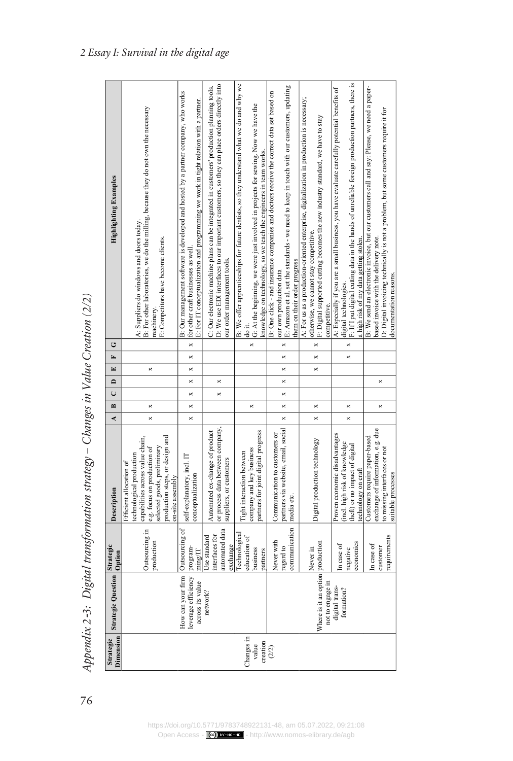| i<br>İ<br>ĺ                    |
|--------------------------------|
|                                |
| $\overline{\mathcal{L}}$<br>j  |
| J                              |
| i<br> <br>                     |
| $-20 - 70 + 70$<br>j<br>.<br>- |
| Ì                              |
| ì                              |
| $\frac{1}{2}$<br>)<br>l        |
| $\cdot$<br>l<br>١<br>í         |
| í                              |

| Dimension<br>Strategic          | <b>Strategic Question Option</b>                                            | Strategic                                                   | Description                                                                                                                                                                                                 | $\mathbf{r}$<br>¢    | $\cup$   | $\Box$   | E<br>$\mathbf{E}$ | ن        | <b>Highlighting Examples</b>                                                                                                                                                                                                                                         |
|---------------------------------|-----------------------------------------------------------------------------|-------------------------------------------------------------|-------------------------------------------------------------------------------------------------------------------------------------------------------------------------------------------------------------|----------------------|----------|----------|-------------------|----------|----------------------------------------------------------------------------------------------------------------------------------------------------------------------------------------------------------------------------------------------------------------------|
|                                 |                                                                             | Outsourcing in<br>production                                | capabilities across value chain,<br>production steps, or design and<br>selected goods, preliminary<br>e.g. focus on production of<br>echnological production<br>Efficient allocation of<br>on-site assembly | ×<br>×               |          |          | ×                 |          | B: For other laboratories, we do the milling, because they do not own the necessary<br>A: Suppliers do windows and doors today.<br>E: Competitors have become clients.<br>machinery                                                                                  |
|                                 | How can your firm Outsourcing of<br>leverage efficiency<br>across its value | program-<br>$\text{ming}/\text{IT}$                         | self-explanatory, incl. IT<br>conceptualization                                                                                                                                                             | ×<br>×               | ×        | ×        | ×<br>×            |          | B: Our management software is developed and hosted by a partner company, who works<br>E: For IT conceptualization and programming we work in tight relation with a partner.<br>x for other craft businesses as well.                                                 |
|                                 | network?                                                                    | automated data<br>nterfaces for<br>Jse standard<br>exchange | or process data between company,<br>Automated ex-change of product<br>suppliers, or customers                                                                                                               |                      | ×        | ×        |                   |          | D: We use EDI interfaces to our important customers, so they can place orders directly into<br>C: Our electronic machine plans can be integrated in customers' production planning tools.<br>our order management tools.                                             |
| Changes in<br>creation<br>value |                                                                             | echnological<br>ducation of<br>pusiness<br>partners         | partners for joint digital progress<br>company and key business<br>light interaction between                                                                                                                | ×                    |          |          |                   | ×        | B: We offer apprenticeships for future dentists, so they understand what we do and why we<br>G: At the beginning, we were just involved in projects for sewing. Now we have the<br>knowledge on technology, so we teach the engineers in team works<br>do it.        |
| (2/2)                           |                                                                             | communication<br>Never with<br>egard to                     | partners via website, email, social<br>Communication to customers or<br>media etc.                                                                                                                          | $\times$<br>$\times$ | $\times$ | $\times$ | $\times$<br>×     | $\times$ | E: Amazon et al. set the standards - we need to keep in touch with our customers, updating<br>B: One click - and insurance companies and doctors receive the correct data set based on<br>them on their order progress<br>our own production data                    |
|                                 | Where is it an option production<br>not to engage in                        | Never in                                                    | Digital production technology                                                                                                                                                                               | ×<br>×               |          |          | ×<br>×            | ×        | A: For us as a production-oriented enterprise, digitalization in production is necessary;<br>F: Digital supported cutting becomes the new industry standard, we have to stay<br>otherwise, we cannot stay competitive.<br>competitive.                               |
|                                 | digital trans-<br>formation?                                                | sconomics<br>n case of<br>egative                           | roven economic disadvantages<br>incl. high risk of knowledge<br>heft) or no impact of digital<br>technology on craft                                                                                        | ×<br>×               |          |          | ×                 | $\times$ | F: If I put digital cutting data in the hands of unreliable foreign production partners, there is<br>A: Especially if you are a small business, you have evaluate carefully potential benefits of<br>a high risk of my data getting stolen.<br>digital technologies. |
|                                 |                                                                             | equirements<br>In case of<br>customer                       | exchange of information, e.g. due<br>Customers require paper-based<br>o missing interfaces or not<br>suitable processes                                                                                     | ×                    |          | ×        |                   |          | B: We send an electronic invoice, but our customers call and say: Please, we need a paper-<br>D: Digital invoicing technically is not a problem, but some customers require it for<br>based invoice with the delivery note.<br>documentation reasons.                |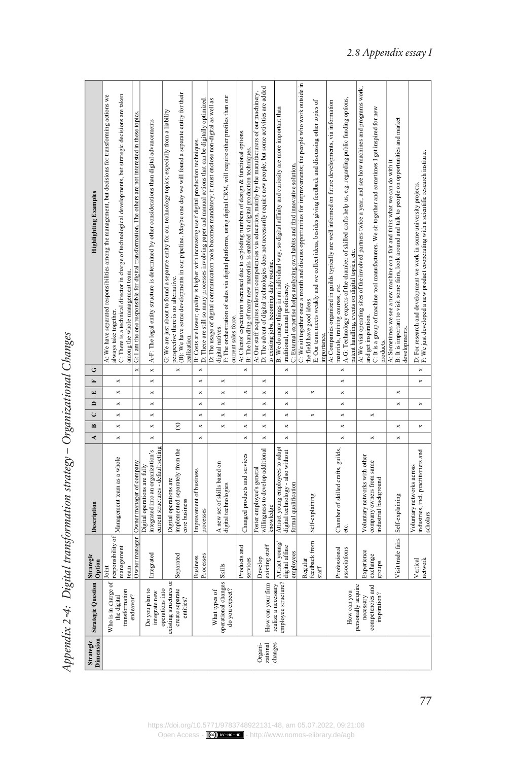Appendix 2-4: Digital transformation strategy - Organizational Changes *Digital transformation strategy – Organizational Changes Appendix 2*‑*4:*

| <b>Highlighting Examples</b>  | C: There is a technical director in charge of technological developments, but strategic decisions are taken<br>A: We have separated responsibilities among the management, but decisions for transforming actions we<br>among the whole management team.<br>always take together. | G: I am the one responsible for digital transformation. The others are not interested in these topics. | A-F: The legal entity structure is determined by other considerations than digital advancements           | (B): We have some developments in our pipeline. Maybe one day we will found a separate entity for their<br>G: We are just about to found a separate entity for our technology topics; especially from a liability<br>perspective there is no alternative.<br>ealization. | D: There are still so many processes involving paper and manual actions that can be digitally optimized.<br>B: Costs are lower; quality is higher with increasing use f digital production techniques. | F: The orchestration of sales via digital platforms, using digital CRM, will require other profiles than our<br>D: The usage of digital communication tools becomes mandatory; it must enclose non-digital as well as<br>current sales force.<br>digital natives. | A: Clients' expectation increased due to exploding numbers of design & functional options.<br>B: The handling of many new materials is enabled via digital production techniques. | D: The advent of digital technologies does not necessarily require new people; but some activities are added<br>A: Our staff acquires relevant competencies via education, mainly by the manufacturers of our machinery.<br>to existing jobs, becoming daily routine. | B: We do many things in an individual way, so digital affinity and curiosity are more important than<br>traditional, manual proficiency. | C: External expertise helps analyzing own habits and find innovative solution. | C: We sit together once a month and discuss opportunities for improvements; the people who work outside in<br>E: Our team meets weakly and we collect ideas, besides giving feedback and discussing other topics of<br>he field have good ideas.<br>importance. | A-G: Technology experts of the chamber of skilled crafts help us, e.g. regarding public funding options,<br>A: Companies organized in guilds typically are well informed on future developments, via information<br>patent handling, events on digital topics, etc.<br>materials, training courses, etc. | A: We visit operating sites of the involved partners twice a year, and see how machines and programs work,<br>C: It is a group of machine tool manufacturers. We sit together and sometimes I get inspired for new<br>and get inspiration.<br>products. | B: It is important to visit some fairs, look around and talk to people on opportunities and market<br>A: Sometimes we see a new machine on a fair and think what we can do with it.<br>developments. | D: For research and development we work in some university projects.<br>F: We just developed a new product cooperating with a scientific research institute. |
|-------------------------------|-----------------------------------------------------------------------------------------------------------------------------------------------------------------------------------------------------------------------------------------------------------------------------------|--------------------------------------------------------------------------------------------------------|-----------------------------------------------------------------------------------------------------------|--------------------------------------------------------------------------------------------------------------------------------------------------------------------------------------------------------------------------------------------------------------------------|--------------------------------------------------------------------------------------------------------------------------------------------------------------------------------------------------------|-------------------------------------------------------------------------------------------------------------------------------------------------------------------------------------------------------------------------------------------------------------------|-----------------------------------------------------------------------------------------------------------------------------------------------------------------------------------|-----------------------------------------------------------------------------------------------------------------------------------------------------------------------------------------------------------------------------------------------------------------------|------------------------------------------------------------------------------------------------------------------------------------------|--------------------------------------------------------------------------------|-----------------------------------------------------------------------------------------------------------------------------------------------------------------------------------------------------------------------------------------------------------------|----------------------------------------------------------------------------------------------------------------------------------------------------------------------------------------------------------------------------------------------------------------------------------------------------------|---------------------------------------------------------------------------------------------------------------------------------------------------------------------------------------------------------------------------------------------------------|------------------------------------------------------------------------------------------------------------------------------------------------------------------------------------------------------|--------------------------------------------------------------------------------------------------------------------------------------------------------------|
| Ù                             |                                                                                                                                                                                                                                                                                   | $\times$                                                                                               | $\times$                                                                                                  | ×                                                                                                                                                                                                                                                                        | $\times$                                                                                                                                                                                               |                                                                                                                                                                                                                                                                   | ×                                                                                                                                                                                 |                                                                                                                                                                                                                                                                       | ×                                                                                                                                        |                                                                                |                                                                                                                                                                                                                                                                 | $\times$                                                                                                                                                                                                                                                                                                 |                                                                                                                                                                                                                                                         |                                                                                                                                                                                                      | $\times$                                                                                                                                                     |
| E                             | ×                                                                                                                                                                                                                                                                                 |                                                                                                        | $\times$                                                                                                  |                                                                                                                                                                                                                                                                          | ×                                                                                                                                                                                                      | ×                                                                                                                                                                                                                                                                 |                                                                                                                                                                                   | ×                                                                                                                                                                                                                                                                     |                                                                                                                                          |                                                                                |                                                                                                                                                                                                                                                                 | ×                                                                                                                                                                                                                                                                                                        |                                                                                                                                                                                                                                                         |                                                                                                                                                                                                      | ×                                                                                                                                                            |
| $\Xi$                         | $\times$                                                                                                                                                                                                                                                                          |                                                                                                        | $\times$                                                                                                  |                                                                                                                                                                                                                                                                          | ×                                                                                                                                                                                                      | ×                                                                                                                                                                                                                                                                 | ×                                                                                                                                                                                 | ×                                                                                                                                                                                                                                                                     | ×                                                                                                                                        |                                                                                | ×                                                                                                                                                                                                                                                               | $\times$                                                                                                                                                                                                                                                                                                 |                                                                                                                                                                                                                                                         | ×                                                                                                                                                                                                    |                                                                                                                                                              |
| $\overline{\phantom{a}}$<br>Ü | $\times$<br>$\times$                                                                                                                                                                                                                                                              |                                                                                                        | $\times$<br>$\overline{\mathbf{x}}$                                                                       |                                                                                                                                                                                                                                                                          | ×<br>$\times$                                                                                                                                                                                          | ×<br>$\times$                                                                                                                                                                                                                                                     | $\overline{\mathbf{x}}$                                                                                                                                                           | ×<br>$\overline{\mathbf{x}}$                                                                                                                                                                                                                                          | ×<br>$\times$                                                                                                                            |                                                                                | $\times$                                                                                                                                                                                                                                                        | ×<br>$\times$                                                                                                                                                                                                                                                                                            | $\times$                                                                                                                                                                                                                                                | ×                                                                                                                                                                                                    | ×                                                                                                                                                            |
| $\overline{a}$                | $\times$                                                                                                                                                                                                                                                                          |                                                                                                        | $\times$                                                                                                  | $\hat{\mathbf{x}}$                                                                                                                                                                                                                                                       | ×                                                                                                                                                                                                      | ×                                                                                                                                                                                                                                                                 | $\times$                                                                                                                                                                          | ×                                                                                                                                                                                                                                                                     | ×                                                                                                                                        |                                                                                |                                                                                                                                                                                                                                                                 | $\times$                                                                                                                                                                                                                                                                                                 |                                                                                                                                                                                                                                                         | ×                                                                                                                                                                                                    | $\times$                                                                                                                                                     |
| 4                             | $\times$                                                                                                                                                                                                                                                                          |                                                                                                        | $\times$                                                                                                  |                                                                                                                                                                                                                                                                          | $\times$                                                                                                                                                                                               |                                                                                                                                                                                                                                                                   | ×                                                                                                                                                                                 | $\times$                                                                                                                                                                                                                                                              | ×                                                                                                                                        |                                                                                |                                                                                                                                                                                                                                                                 | $\times$                                                                                                                                                                                                                                                                                                 | $\times$                                                                                                                                                                                                                                                | ×                                                                                                                                                                                                    |                                                                                                                                                              |
| Description                   | Management team as a whole                                                                                                                                                                                                                                                        | Owner manager   Owner manager of company                                                               | current structures - default setting<br>integrated into an organization's<br>Digital operations are fully | implemented separately from the<br>Digital operations are<br>core business                                                                                                                                                                                               | Improvement of business<br>processes                                                                                                                                                                   | A new set of skills based on<br>digital technologies                                                                                                                                                                                                              | Changed products and services                                                                                                                                                     | willingness to develop additional<br>Foster employee's general<br>knowledge                                                                                                                                                                                           | Attract young employees to adapt<br>digital technology - also without                                                                    | formal qualification                                                           | Self-explaining                                                                                                                                                                                                                                                 | Chamber of skilled crafts, guilds,<br>etc.                                                                                                                                                                                                                                                               | Voluntary networks with other<br>company owners from same<br>industrial background                                                                                                                                                                      | Self-explaining                                                                                                                                                                                      | industries, incl. practitioners and<br>Voluntary networks across<br>scholars                                                                                 |
| Strategic<br>Option           | responsibility of<br>management<br>Joint<br>team                                                                                                                                                                                                                                  |                                                                                                        | Integrated                                                                                                | Separated                                                                                                                                                                                                                                                                | Processes<br>Business                                                                                                                                                                                  | Skills                                                                                                                                                                                                                                                            | Products and<br>services                                                                                                                                                          | existing staff<br>Develop                                                                                                                                                                                                                                             | Attract young<br>digital affine                                                                                                          | employees                                                                      | feedback from<br>Regular<br>staff                                                                                                                                                                                                                               | Professional<br>associations                                                                                                                                                                                                                                                                             | Experience<br>exchange<br>sdno.fa                                                                                                                                                                                                                       | Visit trade fairs                                                                                                                                                                                    | network<br>Vertical                                                                                                                                          |
| <b>Strategic Question</b>     | Who is in charge of<br>transformation<br>endeavor?<br>the digital                                                                                                                                                                                                                 |                                                                                                        | Do you plan to<br>integrate new                                                                           | existing structures or<br>create separate<br>operations into<br>entities?                                                                                                                                                                                                |                                                                                                                                                                                                        | operational changes<br>do you expect?<br>What types of                                                                                                                                                                                                            |                                                                                                                                                                                   | How can your firm                                                                                                                                                                                                                                                     | employee structure?<br>realize a necessary                                                                                               |                                                                                |                                                                                                                                                                                                                                                                 | How can you                                                                                                                                                                                                                                                                                              | personally acquire<br>competencies and<br>inspiration?<br>necessary                                                                                                                                                                                     |                                                                                                                                                                                                      |                                                                                                                                                              |
| Dimension<br>Strategic        |                                                                                                                                                                                                                                                                                   |                                                                                                        |                                                                                                           |                                                                                                                                                                                                                                                                          |                                                                                                                                                                                                        |                                                                                                                                                                                                                                                                   |                                                                                                                                                                                   | changes<br>zational<br>Organi-                                                                                                                                                                                                                                        |                                                                                                                                          |                                                                                |                                                                                                                                                                                                                                                                 |                                                                                                                                                                                                                                                                                                          |                                                                                                                                                                                                                                                         |                                                                                                                                                                                                      |                                                                                                                                                              |